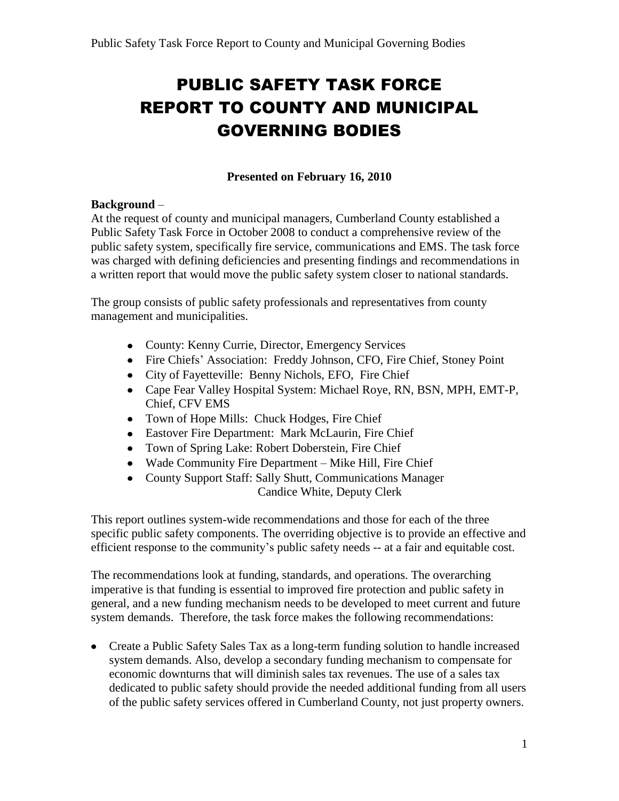# PUBLIC SAFETY TASK FORCE REPORT TO COUNTY AND MUNICIPAL GOVERNING BODIES

# **Presented on February 16, 2010**

#### **Background** –

At the request of county and municipal managers, Cumberland County established a Public Safety Task Force in October 2008 to conduct a comprehensive review of the public safety system, specifically fire service, communications and EMS. The task force was charged with defining deficiencies and presenting findings and recommendations in a written report that would move the public safety system closer to national standards.

The group consists of public safety professionals and representatives from county management and municipalities.

- County: Kenny Currie, Director, Emergency Services
- Fire Chiefs' Association: Freddy Johnson, CFO, Fire Chief, Stoney Point
- City of Fayetteville: Benny Nichols, EFO, Fire Chief
- Cape Fear Valley Hospital System: Michael Roye, RN, BSN, MPH, EMT-P, Chief, CFV EMS
- Town of Hope Mills: Chuck Hodges, Fire Chief
- Eastover Fire Department: Mark McLaurin, Fire Chief
- Town of Spring Lake: Robert Doberstein, Fire Chief
- Wade Community Fire Department Mike Hill, Fire Chief
- County Support Staff: Sally Shutt, Communications Manager Candice White, Deputy Clerk

This report outlines system-wide recommendations and those for each of the three specific public safety components. The overriding objective is to provide an effective and efficient response to the community's public safety needs -- at a fair and equitable cost.

The recommendations look at funding, standards, and operations. The overarching imperative is that funding is essential to improved fire protection and public safety in general, and a new funding mechanism needs to be developed to meet current and future system demands. Therefore, the task force makes the following recommendations:

• Create a Public Safety Sales Tax as a long-term funding solution to handle increased system demands. Also, develop a secondary funding mechanism to compensate for economic downturns that will diminish sales tax revenues. The use of a sales tax dedicated to public safety should provide the needed additional funding from all users of the public safety services offered in Cumberland County, not just property owners.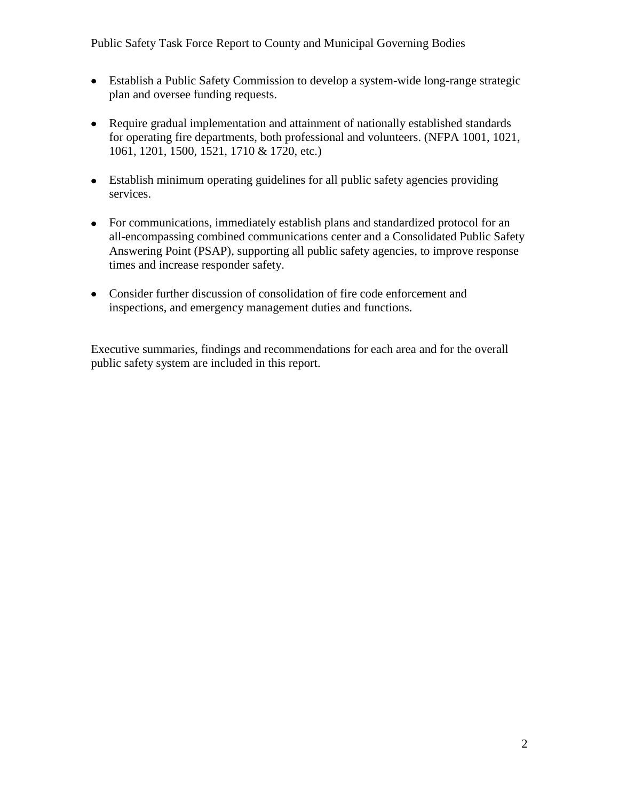- Establish a Public Safety Commission to develop a system-wide long-range strategic plan and oversee funding requests.
- Require gradual implementation and attainment of nationally established standards for operating fire departments, both professional and volunteers. (NFPA 1001, 1021, 1061, 1201, 1500, 1521, 1710 & 1720, etc.)
- Establish minimum operating guidelines for all public safety agencies providing services.
- For communications, immediately establish plans and standardized protocol for an all-encompassing combined communications center and a Consolidated Public Safety Answering Point (PSAP), supporting all public safety agencies, to improve response times and increase responder safety.
- Consider further discussion of consolidation of fire code enforcement and inspections, and emergency management duties and functions.

Executive summaries, findings and recommendations for each area and for the overall public safety system are included in this report.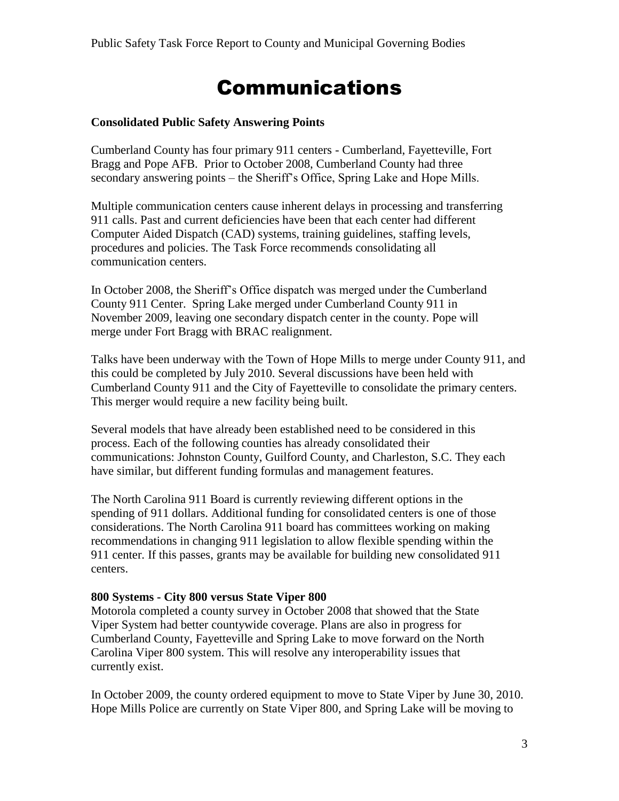# Communications

#### **Consolidated Public Safety Answering Points**

Cumberland County has four primary 911 centers - Cumberland, Fayetteville, Fort Bragg and Pope AFB. Prior to October 2008, Cumberland County had three secondary answering points – the Sheriff's Office, Spring Lake and Hope Mills.

Multiple communication centers cause inherent delays in processing and transferring 911 calls. Past and current deficiencies have been that each center had different Computer Aided Dispatch (CAD) systems, training guidelines, staffing levels, procedures and policies. The Task Force recommends consolidating all communication centers.

In October 2008, the Sheriff's Office dispatch was merged under the Cumberland County 911 Center. Spring Lake merged under Cumberland County 911 in November 2009, leaving one secondary dispatch center in the county. Pope will merge under Fort Bragg with BRAC realignment.

Talks have been underway with the Town of Hope Mills to merge under County 911, and this could be completed by July 2010. Several discussions have been held with Cumberland County 911 and the City of Fayetteville to consolidate the primary centers. This merger would require a new facility being built.

Several models that have already been established need to be considered in this process. Each of the following counties has already consolidated their communications: Johnston County, Guilford County, and Charleston, S.C. They each have similar, but different funding formulas and management features.

The North Carolina 911 Board is currently reviewing different options in the spending of 911 dollars. Additional funding for consolidated centers is one of those considerations. The North Carolina 911 board has committees working on making recommendations in changing 911 legislation to allow flexible spending within the 911 center. If this passes, grants may be available for building new consolidated 911 centers.

#### **800 Systems - City 800 versus State Viper 800**

Motorola completed a county survey in October 2008 that showed that the State Viper System had better countywide coverage. Plans are also in progress for Cumberland County, Fayetteville and Spring Lake to move forward on the North Carolina Viper 800 system. This will resolve any interoperability issues that currently exist.

In October 2009, the county ordered equipment to move to State Viper by June 30, 2010. Hope Mills Police are currently on State Viper 800, and Spring Lake will be moving to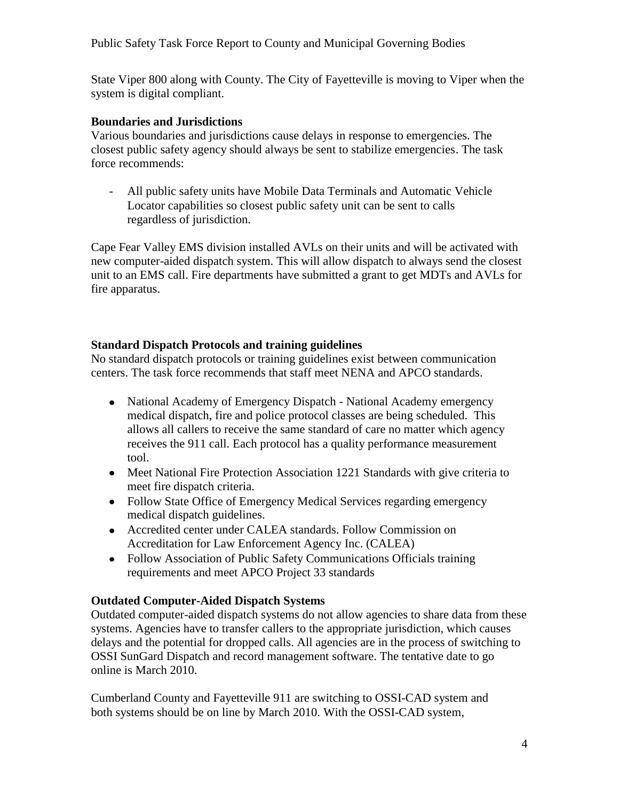State Viper 800 along with County. The City of Fayetteville is moving to Viper when the system is digital compliant.

#### **Boundaries and Jurisdictions**

Various boundaries and jurisdictions cause delays in response to emergencies. The closest public safety agency should always be sent to stabilize emergencies. The task force recommends:

- All public safety units have Mobile Data Terminals and Automatic Vehicle Locator capabilities so closest public safety unit can be sent to calls regardless of jurisdiction.

Cape Fear Valley EMS division installed AVLs on their units and will be activated with new computer-aided dispatch system. This will allow dispatch to always send the closest unit to an EMS call. Fire departments have submitted a grant to get MDTs and AVLs for fire apparatus.

#### **Standard Dispatch Protocols and training guidelines**

No standard dispatch protocols or training guidelines exist between communication centers. The task force recommends that staff meet NENA and APCO standards.

- National Academy of Emergency Dispatch National Academy emergency medical dispatch, fire and police protocol classes are being scheduled. This allows all callers to receive the same standard of care no matter which agency receives the 911 call. Each protocol has a quality performance measurement tool.
- Meet National Fire Protection Association 1221 Standards with give criteria to meet fire dispatch criteria.
- Follow State Office of Emergency Medical Services regarding emergency medical dispatch guidelines.
- Accredited center under CALEA standards. Follow Commission on Accreditation for Law Enforcement Agency Inc. (CALEA)
- Follow Association of Public Safety Communications Officials training requirements and meet APCO Project 33 standards

#### **Outdated Computer-Aided Dispatch Systems**

Outdated computer-aided dispatch systems do not allow agencies to share data from these systems. Agencies have to transfer callers to the appropriate jurisdiction, which causes delays and the potential for dropped calls. All agencies are in the process of switching to OSSI SunGard Dispatch and record management software. The tentative date to go online is March 2010.

Cumberland County and Fayetteville 911 are switching to OSSI-CAD system and both systems should be on line by March 2010. With the OSSI-CAD system,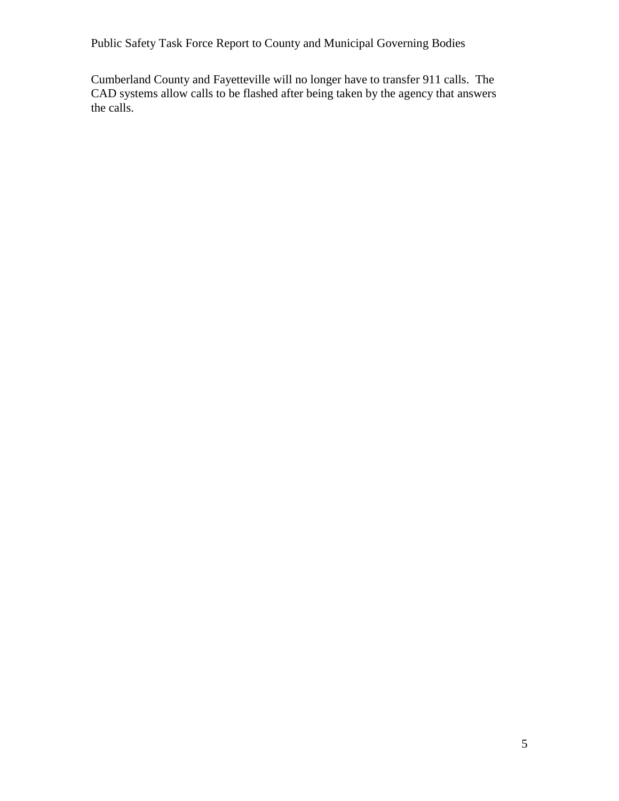Cumberland County and Fayetteville will no longer have to transfer 911 calls. The CAD systems allow calls to be flashed after being taken by the agency that answers the calls.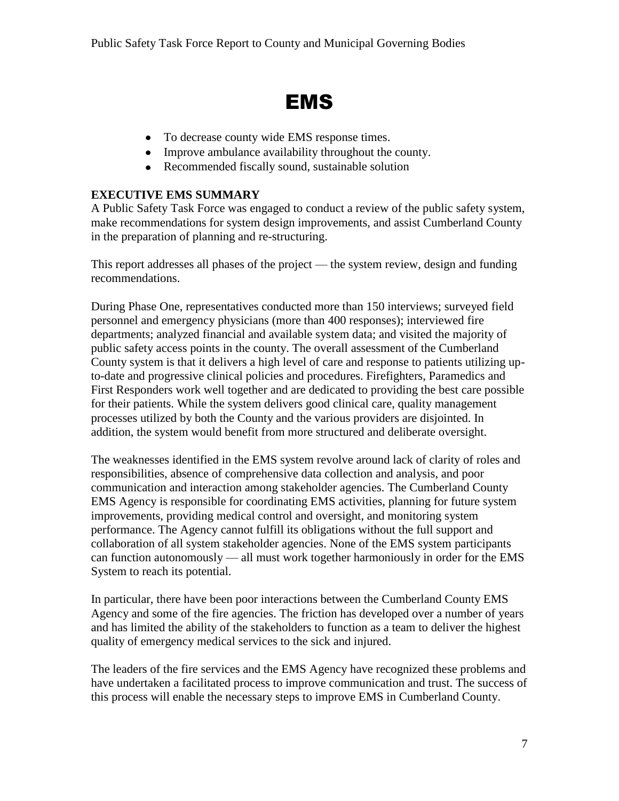# EMS

- To decrease county wide EMS response times.
- Improve ambulance availability throughout the county.
- Recommended fiscally sound, sustainable solution

### **EXECUTIVE EMS SUMMARY**

A Public Safety Task Force was engaged to conduct a review of the public safety system, make recommendations for system design improvements, and assist Cumberland County in the preparation of planning and re-structuring.

This report addresses all phases of the project — the system review, design and funding recommendations.

During Phase One, representatives conducted more than 150 interviews; surveyed field personnel and emergency physicians (more than 400 responses); interviewed fire departments; analyzed financial and available system data; and visited the majority of public safety access points in the county. The overall assessment of the Cumberland County system is that it delivers a high level of care and response to patients utilizing upto-date and progressive clinical policies and procedures. Firefighters, Paramedics and First Responders work well together and are dedicated to providing the best care possible for their patients. While the system delivers good clinical care, quality management processes utilized by both the County and the various providers are disjointed. In addition, the system would benefit from more structured and deliberate oversight.

The weaknesses identified in the EMS system revolve around lack of clarity of roles and responsibilities, absence of comprehensive data collection and analysis, and poor communication and interaction among stakeholder agencies. The Cumberland County EMS Agency is responsible for coordinating EMS activities, planning for future system improvements, providing medical control and oversight, and monitoring system performance. The Agency cannot fulfill its obligations without the full support and collaboration of all system stakeholder agencies. None of the EMS system participants can function autonomously — all must work together harmoniously in order for the EMS System to reach its potential.

In particular, there have been poor interactions between the Cumberland County EMS Agency and some of the fire agencies. The friction has developed over a number of years and has limited the ability of the stakeholders to function as a team to deliver the highest quality of emergency medical services to the sick and injured.

The leaders of the fire services and the EMS Agency have recognized these problems and have undertaken a facilitated process to improve communication and trust. The success of this process will enable the necessary steps to improve EMS in Cumberland County.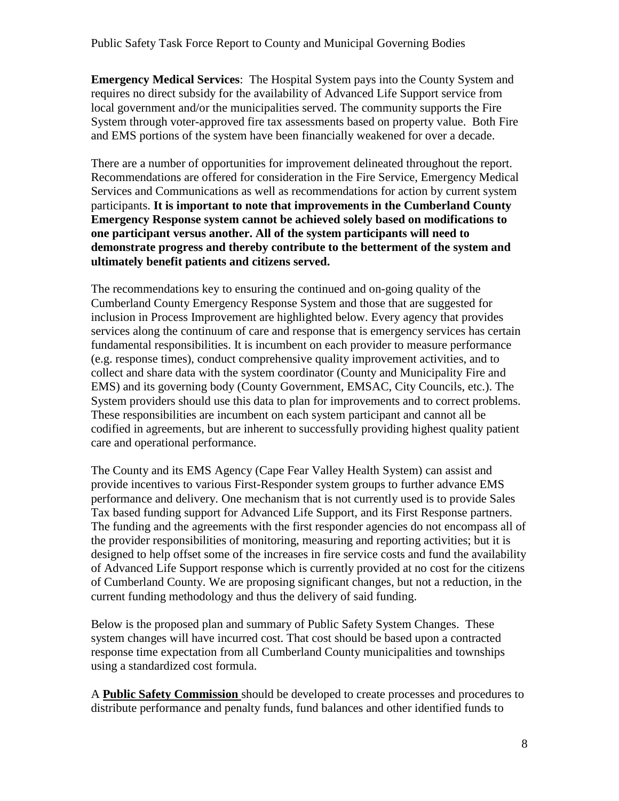**Emergency Medical Services**: The Hospital System pays into the County System and requires no direct subsidy for the availability of Advanced Life Support service from local government and/or the municipalities served. The community supports the Fire System through voter-approved fire tax assessments based on property value. Both Fire and EMS portions of the system have been financially weakened for over a decade.

There are a number of opportunities for improvement delineated throughout the report. Recommendations are offered for consideration in the Fire Service, Emergency Medical Services and Communications as well as recommendations for action by current system participants. **It is important to note that improvements in the Cumberland County Emergency Response system cannot be achieved solely based on modifications to one participant versus another. All of the system participants will need to demonstrate progress and thereby contribute to the betterment of the system and ultimately benefit patients and citizens served.**

The recommendations key to ensuring the continued and on-going quality of the Cumberland County Emergency Response System and those that are suggested for inclusion in Process Improvement are highlighted below. Every agency that provides services along the continuum of care and response that is emergency services has certain fundamental responsibilities. It is incumbent on each provider to measure performance (e.g. response times), conduct comprehensive quality improvement activities, and to collect and share data with the system coordinator (County and Municipality Fire and EMS) and its governing body (County Government, EMSAC, City Councils, etc.). The System providers should use this data to plan for improvements and to correct problems. These responsibilities are incumbent on each system participant and cannot all be codified in agreements, but are inherent to successfully providing highest quality patient care and operational performance.

The County and its EMS Agency (Cape Fear Valley Health System) can assist and provide incentives to various First-Responder system groups to further advance EMS performance and delivery. One mechanism that is not currently used is to provide Sales Tax based funding support for Advanced Life Support, and its First Response partners. The funding and the agreements with the first responder agencies do not encompass all of the provider responsibilities of monitoring, measuring and reporting activities; but it is designed to help offset some of the increases in fire service costs and fund the availability of Advanced Life Support response which is currently provided at no cost for the citizens of Cumberland County. We are proposing significant changes, but not a reduction, in the current funding methodology and thus the delivery of said funding.

Below is the proposed plan and summary of Public Safety System Changes. These system changes will have incurred cost. That cost should be based upon a contracted response time expectation from all Cumberland County municipalities and townships using a standardized cost formula.

A **Public Safety Commission** should be developed to create processes and procedures to distribute performance and penalty funds, fund balances and other identified funds to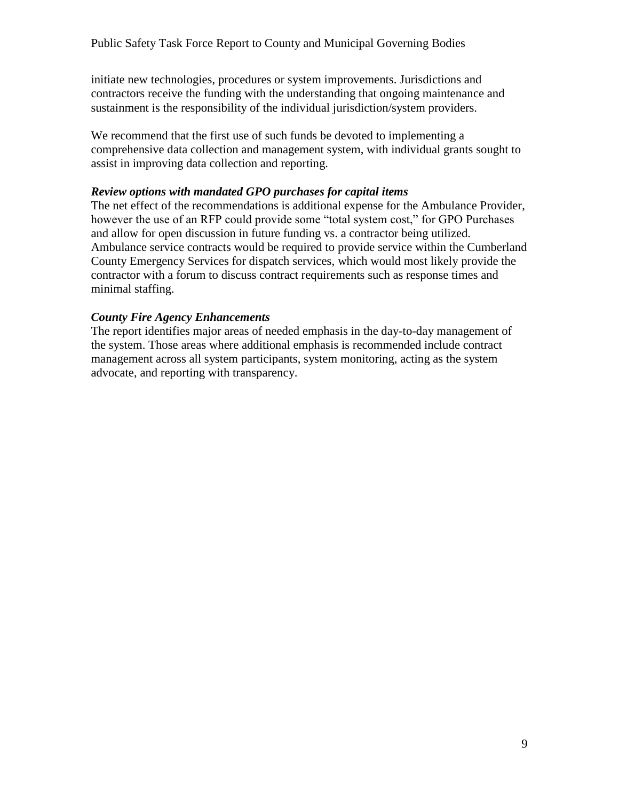initiate new technologies, procedures or system improvements. Jurisdictions and contractors receive the funding with the understanding that ongoing maintenance and sustainment is the responsibility of the individual jurisdiction/system providers.

We recommend that the first use of such funds be devoted to implementing a comprehensive data collection and management system, with individual grants sought to assist in improving data collection and reporting.

#### *Review options with mandated GPO purchases for capital items*

The net effect of the recommendations is additional expense for the Ambulance Provider, however the use of an RFP could provide some "total system cost," for GPO Purchases and allow for open discussion in future funding vs. a contractor being utilized. Ambulance service contracts would be required to provide service within the Cumberland County Emergency Services for dispatch services, which would most likely provide the contractor with a forum to discuss contract requirements such as response times and minimal staffing.

#### *County Fire Agency Enhancements*

The report identifies major areas of needed emphasis in the day-to-day management of the system. Those areas where additional emphasis is recommended include contract management across all system participants, system monitoring, acting as the system advocate, and reporting with transparency.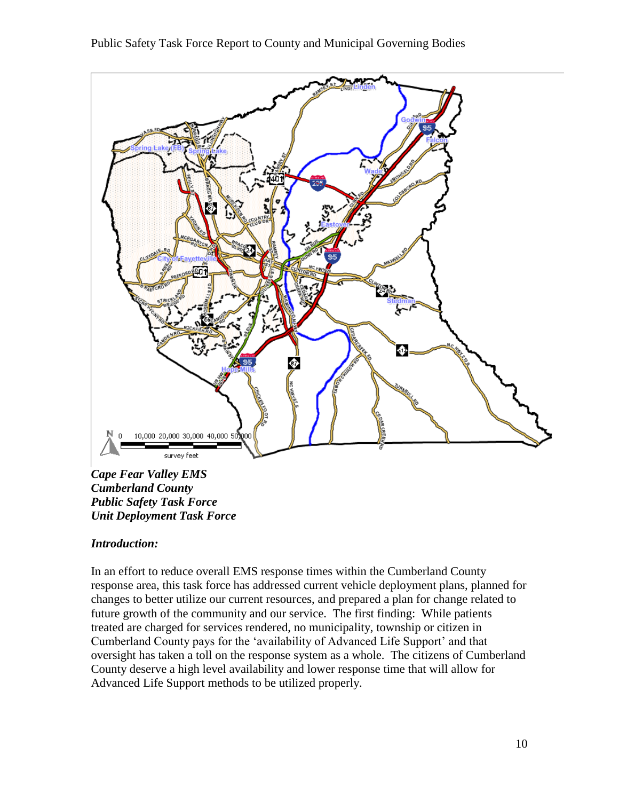

*Cape Fear Valley EMS Cumberland County Public Safety Task Force Unit Deployment Task Force*

#### *Introduction:*

In an effort to reduce overall EMS response times within the Cumberland County response area, this task force has addressed current vehicle deployment plans, planned for changes to better utilize our current resources, and prepared a plan for change related to future growth of the community and our service. The first finding: While patients treated are charged for services rendered, no municipality, township or citizen in Cumberland County pays for the ‗availability of Advanced Life Support' and that oversight has taken a toll on the response system as a whole. The citizens of Cumberland County deserve a high level availability and lower response time that will allow for Advanced Life Support methods to be utilized properly.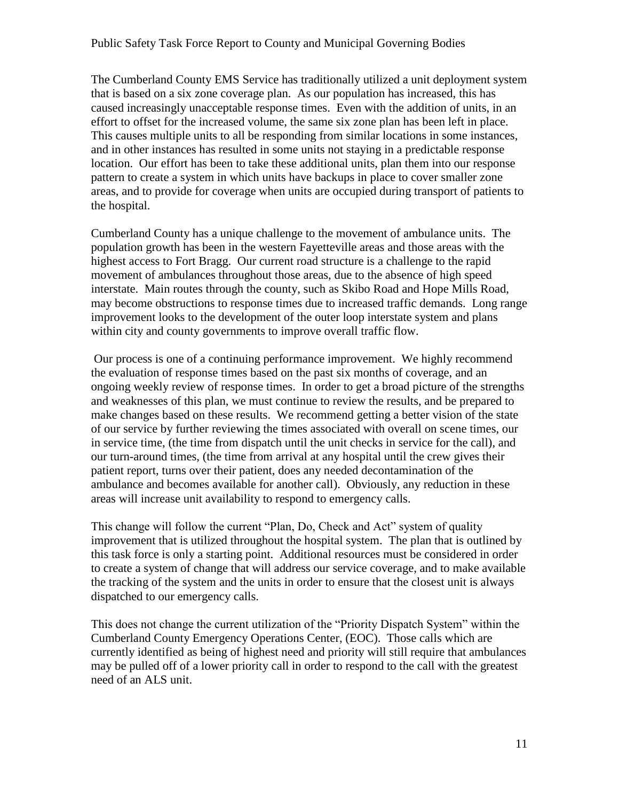The Cumberland County EMS Service has traditionally utilized a unit deployment system that is based on a six zone coverage plan. As our population has increased, this has caused increasingly unacceptable response times. Even with the addition of units, in an effort to offset for the increased volume, the same six zone plan has been left in place. This causes multiple units to all be responding from similar locations in some instances, and in other instances has resulted in some units not staying in a predictable response location. Our effort has been to take these additional units, plan them into our response pattern to create a system in which units have backups in place to cover smaller zone areas, and to provide for coverage when units are occupied during transport of patients to the hospital.

Cumberland County has a unique challenge to the movement of ambulance units. The population growth has been in the western Fayetteville areas and those areas with the highest access to Fort Bragg. Our current road structure is a challenge to the rapid movement of ambulances throughout those areas, due to the absence of high speed interstate. Main routes through the county, such as Skibo Road and Hope Mills Road, may become obstructions to response times due to increased traffic demands. Long range improvement looks to the development of the outer loop interstate system and plans within city and county governments to improve overall traffic flow.

Our process is one of a continuing performance improvement. We highly recommend the evaluation of response times based on the past six months of coverage, and an ongoing weekly review of response times. In order to get a broad picture of the strengths and weaknesses of this plan, we must continue to review the results, and be prepared to make changes based on these results. We recommend getting a better vision of the state of our service by further reviewing the times associated with overall on scene times, our in service time, (the time from dispatch until the unit checks in service for the call), and our turn-around times, (the time from arrival at any hospital until the crew gives their patient report, turns over their patient, does any needed decontamination of the ambulance and becomes available for another call). Obviously, any reduction in these areas will increase unit availability to respond to emergency calls.

This change will follow the current "Plan, Do, Check and Act" system of quality improvement that is utilized throughout the hospital system. The plan that is outlined by this task force is only a starting point. Additional resources must be considered in order to create a system of change that will address our service coverage, and to make available the tracking of the system and the units in order to ensure that the closest unit is always dispatched to our emergency calls.

This does not change the current utilization of the "Priority Dispatch System" within the Cumberland County Emergency Operations Center, (EOC). Those calls which are currently identified as being of highest need and priority will still require that ambulances may be pulled off of a lower priority call in order to respond to the call with the greatest need of an ALS unit.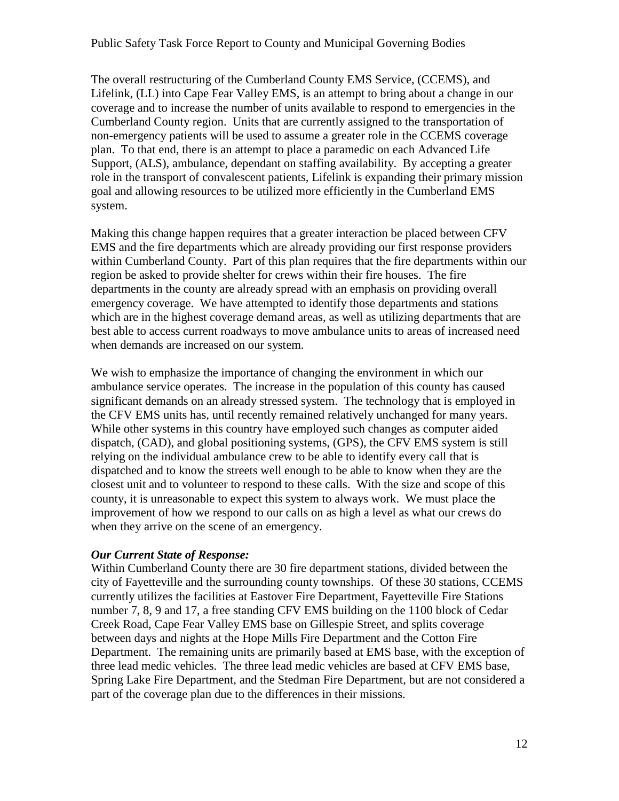The overall restructuring of the Cumberland County EMS Service, (CCEMS), and Lifelink, (LL) into Cape Fear Valley EMS, is an attempt to bring about a change in our coverage and to increase the number of units available to respond to emergencies in the Cumberland County region. Units that are currently assigned to the transportation of non-emergency patients will be used to assume a greater role in the CCEMS coverage plan. To that end, there is an attempt to place a paramedic on each Advanced Life Support, (ALS), ambulance, dependant on staffing availability. By accepting a greater role in the transport of convalescent patients, Lifelink is expanding their primary mission goal and allowing resources to be utilized more efficiently in the Cumberland EMS system.

Making this change happen requires that a greater interaction be placed between CFV EMS and the fire departments which are already providing our first response providers within Cumberland County. Part of this plan requires that the fire departments within our region be asked to provide shelter for crews within their fire houses. The fire departments in the county are already spread with an emphasis on providing overall emergency coverage. We have attempted to identify those departments and stations which are in the highest coverage demand areas, as well as utilizing departments that are best able to access current roadways to move ambulance units to areas of increased need when demands are increased on our system.

We wish to emphasize the importance of changing the environment in which our ambulance service operates. The increase in the population of this county has caused significant demands on an already stressed system. The technology that is employed in the CFV EMS units has, until recently remained relatively unchanged for many years. While other systems in this country have employed such changes as computer aided dispatch, (CAD), and global positioning systems, (GPS), the CFV EMS system is still relying on the individual ambulance crew to be able to identify every call that is dispatched and to know the streets well enough to be able to know when they are the closest unit and to volunteer to respond to these calls. With the size and scope of this county, it is unreasonable to expect this system to always work. We must place the improvement of how we respond to our calls on as high a level as what our crews do when they arrive on the scene of an emergency.

#### *Our Current State of Response:*

Within Cumberland County there are 30 fire department stations, divided between the city of Fayetteville and the surrounding county townships. Of these 30 stations, CCEMS currently utilizes the facilities at Eastover Fire Department, Fayetteville Fire Stations number 7, 8, 9 and 17, a free standing CFV EMS building on the 1100 block of Cedar Creek Road, Cape Fear Valley EMS base on Gillespie Street, and splits coverage between days and nights at the Hope Mills Fire Department and the Cotton Fire Department. The remaining units are primarily based at EMS base, with the exception of three lead medic vehicles. The three lead medic vehicles are based at CFV EMS base, Spring Lake Fire Department, and the Stedman Fire Department, but are not considered a part of the coverage plan due to the differences in their missions.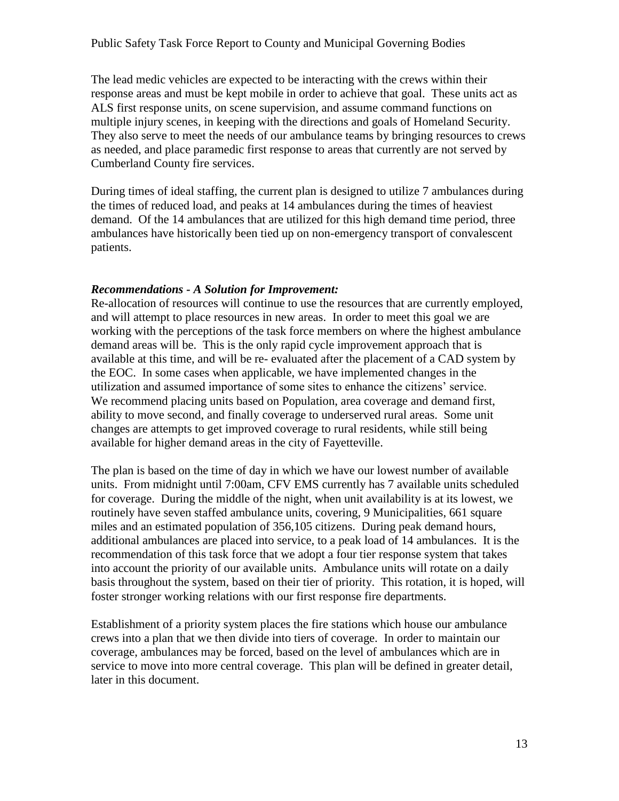The lead medic vehicles are expected to be interacting with the crews within their response areas and must be kept mobile in order to achieve that goal. These units act as ALS first response units, on scene supervision, and assume command functions on multiple injury scenes, in keeping with the directions and goals of Homeland Security. They also serve to meet the needs of our ambulance teams by bringing resources to crews as needed, and place paramedic first response to areas that currently are not served by Cumberland County fire services.

During times of ideal staffing, the current plan is designed to utilize 7 ambulances during the times of reduced load, and peaks at 14 ambulances during the times of heaviest demand. Of the 14 ambulances that are utilized for this high demand time period, three ambulances have historically been tied up on non-emergency transport of convalescent patients.

#### *Recommendations - A Solution for Improvement:*

Re-allocation of resources will continue to use the resources that are currently employed, and will attempt to place resources in new areas. In order to meet this goal we are working with the perceptions of the task force members on where the highest ambulance demand areas will be. This is the only rapid cycle improvement approach that is available at this time, and will be re- evaluated after the placement of a CAD system by the EOC. In some cases when applicable, we have implemented changes in the utilization and assumed importance of some sites to enhance the citizens' service. We recommend placing units based on Population, area coverage and demand first, ability to move second, and finally coverage to underserved rural areas. Some unit changes are attempts to get improved coverage to rural residents, while still being available for higher demand areas in the city of Fayetteville.

The plan is based on the time of day in which we have our lowest number of available units. From midnight until 7:00am, CFV EMS currently has 7 available units scheduled for coverage. During the middle of the night, when unit availability is at its lowest, we routinely have seven staffed ambulance units, covering, 9 Municipalities, 661 square miles and an estimated population of 356,105 citizens. During peak demand hours, additional ambulances are placed into service, to a peak load of 14 ambulances. It is the recommendation of this task force that we adopt a four tier response system that takes into account the priority of our available units. Ambulance units will rotate on a daily basis throughout the system, based on their tier of priority. This rotation, it is hoped, will foster stronger working relations with our first response fire departments.

Establishment of a priority system places the fire stations which house our ambulance crews into a plan that we then divide into tiers of coverage. In order to maintain our coverage, ambulances may be forced, based on the level of ambulances which are in service to move into more central coverage. This plan will be defined in greater detail, later in this document.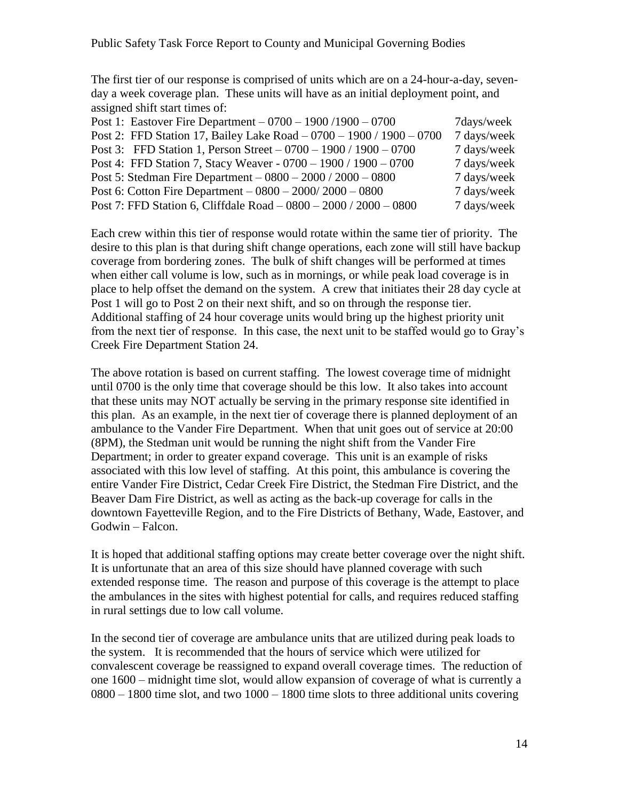The first tier of our response is comprised of units which are on a 24-hour-a-day, sevenday a week coverage plan. These units will have as an initial deployment point, and assigned shift start times of:

| Post 1: Eastover Fire Department $-0700 - 1900/1900 - 0700$          | 7 days/week |
|----------------------------------------------------------------------|-------------|
| Post 2: FFD Station 17, Bailey Lake Road - 0700 - 1900 / 1900 - 0700 | 7 days/week |
| Post 3: FFD Station 1, Person Street $-0700 - 1900 / 1900 - 0700$    | 7 days/week |
| Post 4: FFD Station 7, Stacy Weaver - 0700 - 1900 / 1900 - 0700      | 7 days/week |
| Post 5: Stedman Fire Department $-0800 - 2000 / 2000 - 0800$         | 7 days/week |
| Post 6: Cotton Fire Department $-0800 - 2000/2000 - 0800$            | 7 days/week |
| Post 7: FFD Station 6, Cliffdale Road – 0800 – 2000 / 2000 – 0800    | 7 days/week |

Each crew within this tier of response would rotate within the same tier of priority. The desire to this plan is that during shift change operations, each zone will still have backup coverage from bordering zones. The bulk of shift changes will be performed at times when either call volume is low, such as in mornings, or while peak load coverage is in place to help offset the demand on the system. A crew that initiates their 28 day cycle at Post 1 will go to Post 2 on their next shift, and so on through the response tier. Additional staffing of 24 hour coverage units would bring up the highest priority unit from the next tier of response. In this case, the next unit to be staffed would go to Gray's Creek Fire Department Station 24.

The above rotation is based on current staffing. The lowest coverage time of midnight until 0700 is the only time that coverage should be this low. It also takes into account that these units may NOT actually be serving in the primary response site identified in this plan. As an example, in the next tier of coverage there is planned deployment of an ambulance to the Vander Fire Department. When that unit goes out of service at 20:00 (8PM), the Stedman unit would be running the night shift from the Vander Fire Department; in order to greater expand coverage. This unit is an example of risks associated with this low level of staffing. At this point, this ambulance is covering the entire Vander Fire District, Cedar Creek Fire District, the Stedman Fire District, and the Beaver Dam Fire District, as well as acting as the back-up coverage for calls in the downtown Fayetteville Region, and to the Fire Districts of Bethany, Wade, Eastover, and Godwin – Falcon.

It is hoped that additional staffing options may create better coverage over the night shift. It is unfortunate that an area of this size should have planned coverage with such extended response time. The reason and purpose of this coverage is the attempt to place the ambulances in the sites with highest potential for calls, and requires reduced staffing in rural settings due to low call volume.

In the second tier of coverage are ambulance units that are utilized during peak loads to the system. It is recommended that the hours of service which were utilized for convalescent coverage be reassigned to expand overall coverage times. The reduction of one 1600 – midnight time slot, would allow expansion of coverage of what is currently a 0800 – 1800 time slot, and two 1000 – 1800 time slots to three additional units covering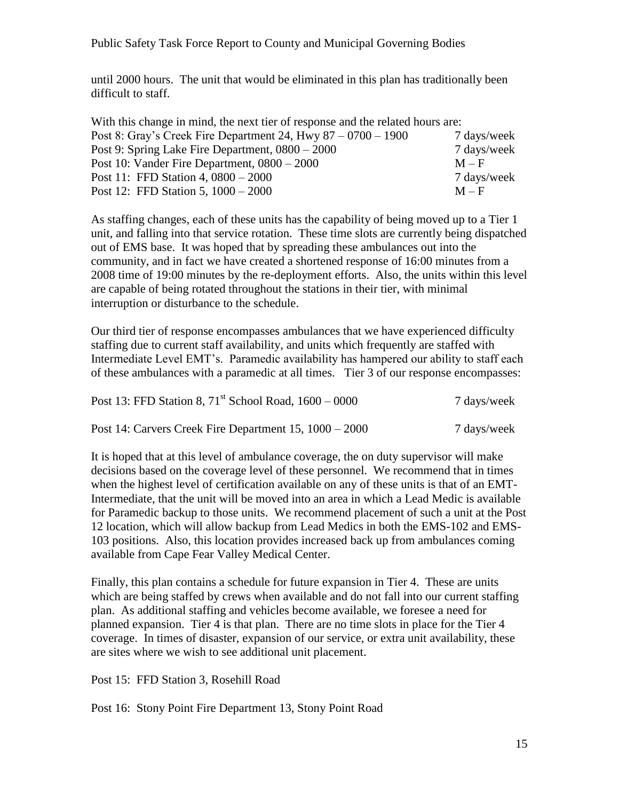until 2000 hours. The unit that would be eliminated in this plan has traditionally been difficult to staff.

| With this change in mind, the next tier of response and the related hours are: |             |
|--------------------------------------------------------------------------------|-------------|
| Post 8: Gray's Creek Fire Department 24, Hwy $87 - 0700 - 1900$                | 7 days/week |
| Post 9: Spring Lake Fire Department, 0800 – 2000                               | 7 days/week |
| Post 10: Vander Fire Department, $0800 - 2000$                                 | $M - F$     |
| Post 11: FFD Station 4, $0800 - 2000$                                          | 7 days/week |
| Post 12: FFD Station 5, $1000 - 2000$                                          | $M - F$     |

As staffing changes, each of these units has the capability of being moved up to a Tier 1 unit, and falling into that service rotation. These time slots are currently being dispatched out of EMS base. It was hoped that by spreading these ambulances out into the community, and in fact we have created a shortened response of 16:00 minutes from a 2008 time of 19:00 minutes by the re-deployment efforts. Also, the units within this level are capable of being rotated throughout the stations in their tier, with minimal interruption or disturbance to the schedule.

Our third tier of response encompasses ambulances that we have experienced difficulty staffing due to current staff availability, and units which frequently are staffed with Intermediate Level EMT's. Paramedic availability has hampered our ability to staff each of these ambulances with a paramedic at all times. Tier 3 of our response encompasses:

| Post 13: FFD Station 8, $71^{st}$ School Road, $1600 - 0000$ | 7 days/week |
|--------------------------------------------------------------|-------------|
| Post 14: Carvers Creek Fire Department 15, 1000 – 2000       | 7 days/week |

It is hoped that at this level of ambulance coverage, the on duty supervisor will make decisions based on the coverage level of these personnel. We recommend that in times when the highest level of certification available on any of these units is that of an EMT-Intermediate, that the unit will be moved into an area in which a Lead Medic is available for Paramedic backup to those units. We recommend placement of such a unit at the Post 12 location, which will allow backup from Lead Medics in both the EMS-102 and EMS-103 positions. Also, this location provides increased back up from ambulances coming available from Cape Fear Valley Medical Center.

Finally, this plan contains a schedule for future expansion in Tier 4. These are units which are being staffed by crews when available and do not fall into our current staffing plan. As additional staffing and vehicles become available, we foresee a need for planned expansion. Tier 4 is that plan. There are no time slots in place for the Tier 4 coverage. In times of disaster, expansion of our service, or extra unit availability, these are sites where we wish to see additional unit placement.

Post 15: FFD Station 3, Rosehill Road

Post 16: Stony Point Fire Department 13, Stony Point Road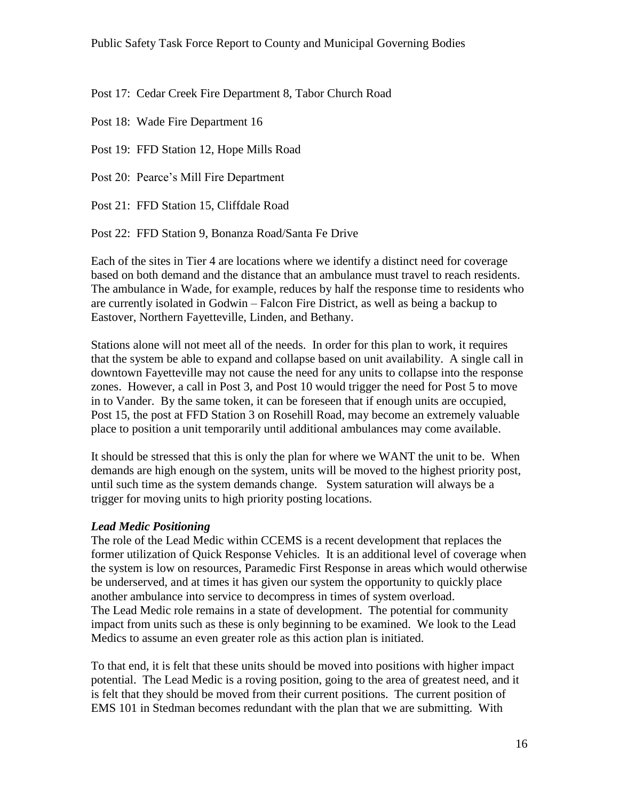Post 17: Cedar Creek Fire Department 8, Tabor Church Road

Post 18: Wade Fire Department 16

Post 19: FFD Station 12, Hope Mills Road

Post 20: Pearce's Mill Fire Department

Post 21: FFD Station 15, Cliffdale Road

Post 22: FFD Station 9, Bonanza Road/Santa Fe Drive

Each of the sites in Tier 4 are locations where we identify a distinct need for coverage based on both demand and the distance that an ambulance must travel to reach residents. The ambulance in Wade, for example, reduces by half the response time to residents who are currently isolated in Godwin – Falcon Fire District, as well as being a backup to Eastover, Northern Fayetteville, Linden, and Bethany.

Stations alone will not meet all of the needs. In order for this plan to work, it requires that the system be able to expand and collapse based on unit availability. A single call in downtown Fayetteville may not cause the need for any units to collapse into the response zones. However, a call in Post 3, and Post 10 would trigger the need for Post 5 to move in to Vander. By the same token, it can be foreseen that if enough units are occupied, Post 15, the post at FFD Station 3 on Rosehill Road, may become an extremely valuable place to position a unit temporarily until additional ambulances may come available.

It should be stressed that this is only the plan for where we WANT the unit to be. When demands are high enough on the system, units will be moved to the highest priority post, until such time as the system demands change. System saturation will always be a trigger for moving units to high priority posting locations.

#### *Lead Medic Positioning*

The role of the Lead Medic within CCEMS is a recent development that replaces the former utilization of Quick Response Vehicles. It is an additional level of coverage when the system is low on resources, Paramedic First Response in areas which would otherwise be underserved, and at times it has given our system the opportunity to quickly place another ambulance into service to decompress in times of system overload. The Lead Medic role remains in a state of development. The potential for community impact from units such as these is only beginning to be examined. We look to the Lead Medics to assume an even greater role as this action plan is initiated.

To that end, it is felt that these units should be moved into positions with higher impact potential. The Lead Medic is a roving position, going to the area of greatest need, and it is felt that they should be moved from their current positions. The current position of EMS 101 in Stedman becomes redundant with the plan that we are submitting. With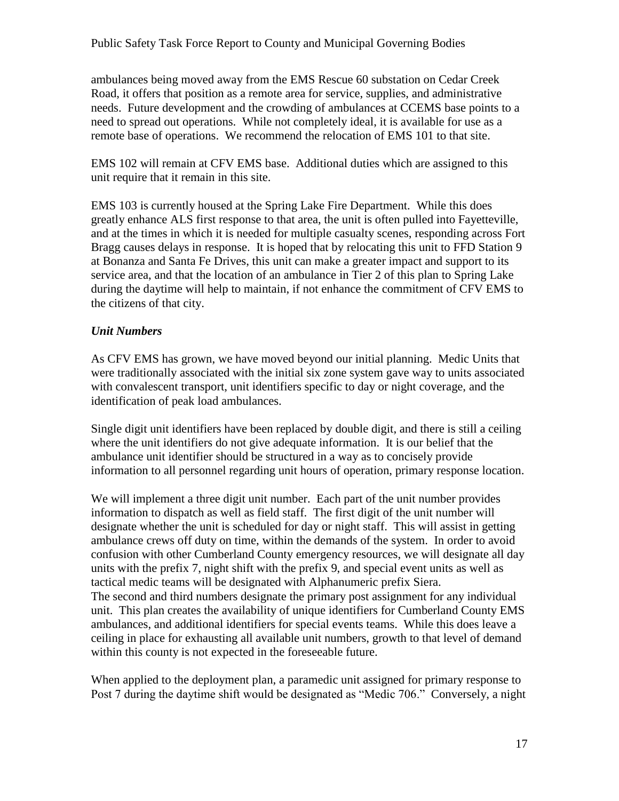ambulances being moved away from the EMS Rescue 60 substation on Cedar Creek Road, it offers that position as a remote area for service, supplies, and administrative needs. Future development and the crowding of ambulances at CCEMS base points to a need to spread out operations. While not completely ideal, it is available for use as a remote base of operations. We recommend the relocation of EMS 101 to that site.

EMS 102 will remain at CFV EMS base. Additional duties which are assigned to this unit require that it remain in this site.

EMS 103 is currently housed at the Spring Lake Fire Department. While this does greatly enhance ALS first response to that area, the unit is often pulled into Fayetteville, and at the times in which it is needed for multiple casualty scenes, responding across Fort Bragg causes delays in response. It is hoped that by relocating this unit to FFD Station 9 at Bonanza and Santa Fe Drives, this unit can make a greater impact and support to its service area, and that the location of an ambulance in Tier 2 of this plan to Spring Lake during the daytime will help to maintain, if not enhance the commitment of CFV EMS to the citizens of that city.

## *Unit Numbers*

As CFV EMS has grown, we have moved beyond our initial planning. Medic Units that were traditionally associated with the initial six zone system gave way to units associated with convalescent transport, unit identifiers specific to day or night coverage, and the identification of peak load ambulances.

Single digit unit identifiers have been replaced by double digit, and there is still a ceiling where the unit identifiers do not give adequate information. It is our belief that the ambulance unit identifier should be structured in a way as to concisely provide information to all personnel regarding unit hours of operation, primary response location.

We will implement a three digit unit number. Each part of the unit number provides information to dispatch as well as field staff. The first digit of the unit number will designate whether the unit is scheduled for day or night staff. This will assist in getting ambulance crews off duty on time, within the demands of the system. In order to avoid confusion with other Cumberland County emergency resources, we will designate all day units with the prefix 7, night shift with the prefix 9, and special event units as well as tactical medic teams will be designated with Alphanumeric prefix Siera. The second and third numbers designate the primary post assignment for any individual unit. This plan creates the availability of unique identifiers for Cumberland County EMS ambulances, and additional identifiers for special events teams. While this does leave a ceiling in place for exhausting all available unit numbers, growth to that level of demand within this county is not expected in the foreseeable future.

When applied to the deployment plan, a paramedic unit assigned for primary response to Post 7 during the daytime shift would be designated as "Medic 706." Conversely, a night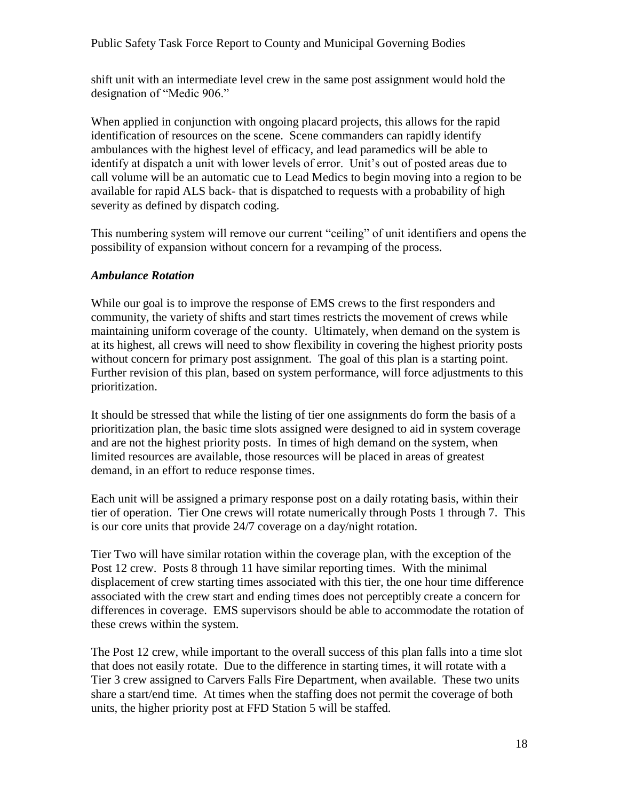shift unit with an intermediate level crew in the same post assignment would hold the designation of "Medic 906."

When applied in conjunction with ongoing placard projects, this allows for the rapid identification of resources on the scene. Scene commanders can rapidly identify ambulances with the highest level of efficacy, and lead paramedics will be able to identify at dispatch a unit with lower levels of error. Unit's out of posted areas due to call volume will be an automatic cue to Lead Medics to begin moving into a region to be available for rapid ALS back- that is dispatched to requests with a probability of high severity as defined by dispatch coding.

This numbering system will remove our current "ceiling" of unit identifiers and opens the possibility of expansion without concern for a revamping of the process.

#### *Ambulance Rotation*

While our goal is to improve the response of EMS crews to the first responders and community, the variety of shifts and start times restricts the movement of crews while maintaining uniform coverage of the county. Ultimately, when demand on the system is at its highest, all crews will need to show flexibility in covering the highest priority posts without concern for primary post assignment. The goal of this plan is a starting point. Further revision of this plan, based on system performance, will force adjustments to this prioritization.

It should be stressed that while the listing of tier one assignments do form the basis of a prioritization plan, the basic time slots assigned were designed to aid in system coverage and are not the highest priority posts. In times of high demand on the system, when limited resources are available, those resources will be placed in areas of greatest demand, in an effort to reduce response times.

Each unit will be assigned a primary response post on a daily rotating basis, within their tier of operation. Tier One crews will rotate numerically through Posts 1 through 7. This is our core units that provide 24/7 coverage on a day/night rotation.

Tier Two will have similar rotation within the coverage plan, with the exception of the Post 12 crew. Posts 8 through 11 have similar reporting times. With the minimal displacement of crew starting times associated with this tier, the one hour time difference associated with the crew start and ending times does not perceptibly create a concern for differences in coverage. EMS supervisors should be able to accommodate the rotation of these crews within the system.

The Post 12 crew, while important to the overall success of this plan falls into a time slot that does not easily rotate. Due to the difference in starting times, it will rotate with a Tier 3 crew assigned to Carvers Falls Fire Department, when available. These two units share a start/end time. At times when the staffing does not permit the coverage of both units, the higher priority post at FFD Station 5 will be staffed.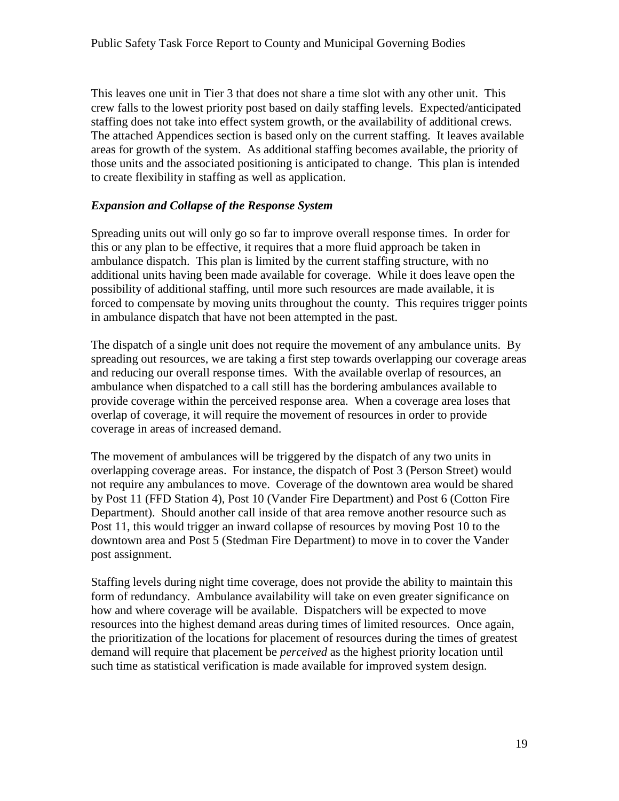This leaves one unit in Tier 3 that does not share a time slot with any other unit. This crew falls to the lowest priority post based on daily staffing levels. Expected/anticipated staffing does not take into effect system growth, or the availability of additional crews. The attached Appendices section is based only on the current staffing. It leaves available areas for growth of the system. As additional staffing becomes available, the priority of those units and the associated positioning is anticipated to change. This plan is intended to create flexibility in staffing as well as application.

#### *Expansion and Collapse of the Response System*

Spreading units out will only go so far to improve overall response times. In order for this or any plan to be effective, it requires that a more fluid approach be taken in ambulance dispatch. This plan is limited by the current staffing structure, with no additional units having been made available for coverage. While it does leave open the possibility of additional staffing, until more such resources are made available, it is forced to compensate by moving units throughout the county. This requires trigger points in ambulance dispatch that have not been attempted in the past.

The dispatch of a single unit does not require the movement of any ambulance units. By spreading out resources, we are taking a first step towards overlapping our coverage areas and reducing our overall response times. With the available overlap of resources, an ambulance when dispatched to a call still has the bordering ambulances available to provide coverage within the perceived response area. When a coverage area loses that overlap of coverage, it will require the movement of resources in order to provide coverage in areas of increased demand.

The movement of ambulances will be triggered by the dispatch of any two units in overlapping coverage areas. For instance, the dispatch of Post 3 (Person Street) would not require any ambulances to move. Coverage of the downtown area would be shared by Post 11 (FFD Station 4), Post 10 (Vander Fire Department) and Post 6 (Cotton Fire Department). Should another call inside of that area remove another resource such as Post 11, this would trigger an inward collapse of resources by moving Post 10 to the downtown area and Post 5 (Stedman Fire Department) to move in to cover the Vander post assignment.

Staffing levels during night time coverage, does not provide the ability to maintain this form of redundancy. Ambulance availability will take on even greater significance on how and where coverage will be available. Dispatchers will be expected to move resources into the highest demand areas during times of limited resources. Once again, the prioritization of the locations for placement of resources during the times of greatest demand will require that placement be *perceived* as the highest priority location until such time as statistical verification is made available for improved system design.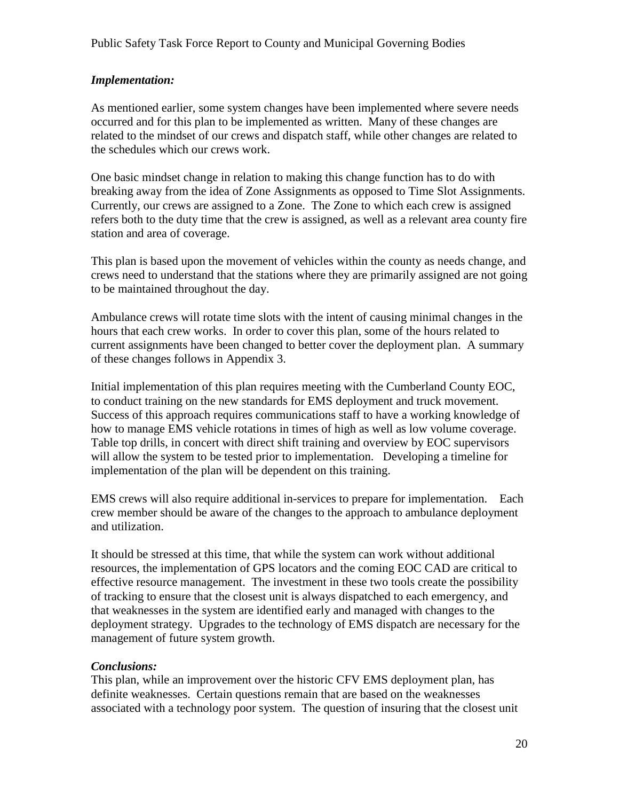#### *Implementation:*

As mentioned earlier, some system changes have been implemented where severe needs occurred and for this plan to be implemented as written. Many of these changes are related to the mindset of our crews and dispatch staff, while other changes are related to the schedules which our crews work.

One basic mindset change in relation to making this change function has to do with breaking away from the idea of Zone Assignments as opposed to Time Slot Assignments. Currently, our crews are assigned to a Zone. The Zone to which each crew is assigned refers both to the duty time that the crew is assigned, as well as a relevant area county fire station and area of coverage.

This plan is based upon the movement of vehicles within the county as needs change, and crews need to understand that the stations where they are primarily assigned are not going to be maintained throughout the day.

Ambulance crews will rotate time slots with the intent of causing minimal changes in the hours that each crew works. In order to cover this plan, some of the hours related to current assignments have been changed to better cover the deployment plan. A summary of these changes follows in Appendix 3.

Initial implementation of this plan requires meeting with the Cumberland County EOC, to conduct training on the new standards for EMS deployment and truck movement. Success of this approach requires communications staff to have a working knowledge of how to manage EMS vehicle rotations in times of high as well as low volume coverage. Table top drills, in concert with direct shift training and overview by EOC supervisors will allow the system to be tested prior to implementation. Developing a timeline for implementation of the plan will be dependent on this training.

EMS crews will also require additional in-services to prepare for implementation. Each crew member should be aware of the changes to the approach to ambulance deployment and utilization.

It should be stressed at this time, that while the system can work without additional resources, the implementation of GPS locators and the coming EOC CAD are critical to effective resource management. The investment in these two tools create the possibility of tracking to ensure that the closest unit is always dispatched to each emergency, and that weaknesses in the system are identified early and managed with changes to the deployment strategy. Upgrades to the technology of EMS dispatch are necessary for the management of future system growth.

#### *Conclusions:*

This plan, while an improvement over the historic CFV EMS deployment plan, has definite weaknesses. Certain questions remain that are based on the weaknesses associated with a technology poor system. The question of insuring that the closest unit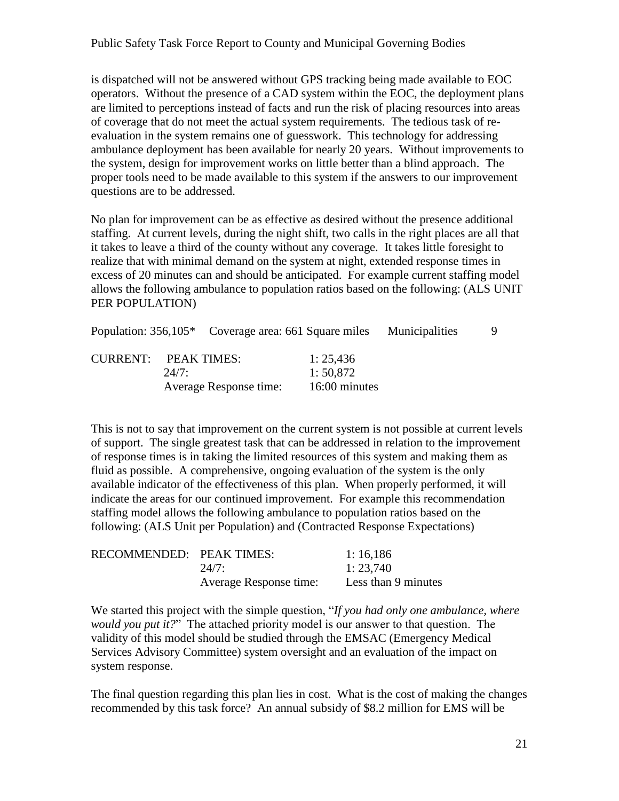is dispatched will not be answered without GPS tracking being made available to EOC operators. Without the presence of a CAD system within the EOC, the deployment plans are limited to perceptions instead of facts and run the risk of placing resources into areas of coverage that do not meet the actual system requirements. The tedious task of reevaluation in the system remains one of guesswork. This technology for addressing ambulance deployment has been available for nearly 20 years. Without improvements to the system, design for improvement works on little better than a blind approach. The proper tools need to be made available to this system if the answers to our improvement questions are to be addressed.

No plan for improvement can be as effective as desired without the presence additional staffing. At current levels, during the night shift, two calls in the right places are all that it takes to leave a third of the county without any coverage. It takes little foresight to realize that with minimal demand on the system at night, extended response times in excess of 20 minutes can and should be anticipated. For example current staffing model allows the following ambulance to population ratios based on the following: (ALS UNIT PER POPULATION)

|                      |       | Population: 356,105 <sup>*</sup> Coverage area: 661 Square miles Municipalities |               |  |
|----------------------|-------|---------------------------------------------------------------------------------|---------------|--|
| CURRENT: PEAK TIMES: |       |                                                                                 | 1:25,436      |  |
|                      | 24/7: |                                                                                 | 1:50,872      |  |
|                      |       | Average Response time:                                                          | 16:00 minutes |  |

This is not to say that improvement on the current system is not possible at current levels of support. The single greatest task that can be addressed in relation to the improvement of response times is in taking the limited resources of this system and making them as fluid as possible. A comprehensive, ongoing evaluation of the system is the only available indicator of the effectiveness of this plan. When properly performed, it will indicate the areas for our continued improvement. For example this recommendation staffing model allows the following ambulance to population ratios based on the following: (ALS Unit per Population) and (Contracted Response Expectations)

| RECOMMENDED: PEAK TIMES: |                        | 1:16,186            |
|--------------------------|------------------------|---------------------|
|                          | 24/7:                  | 1: 23,740           |
|                          | Average Response time: | Less than 9 minutes |

We started this project with the simple question, "*If you had only one ambulance*, where *would you put it?*‖ The attached priority model is our answer to that question. The validity of this model should be studied through the EMSAC (Emergency Medical Services Advisory Committee) system oversight and an evaluation of the impact on system response.

The final question regarding this plan lies in cost. What is the cost of making the changes recommended by this task force? An annual subsidy of \$8.2 million for EMS will be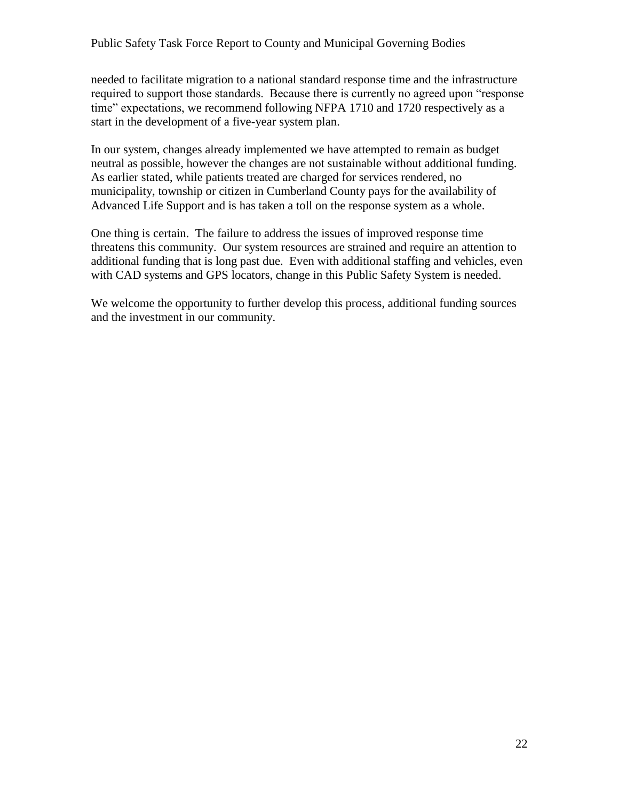needed to facilitate migration to a national standard response time and the infrastructure required to support those standards. Because there is currently no agreed upon "response" time" expectations, we recommend following NFPA 1710 and 1720 respectively as a start in the development of a five-year system plan.

In our system, changes already implemented we have attempted to remain as budget neutral as possible, however the changes are not sustainable without additional funding. As earlier stated, while patients treated are charged for services rendered, no municipality, township or citizen in Cumberland County pays for the availability of Advanced Life Support and is has taken a toll on the response system as a whole.

One thing is certain. The failure to address the issues of improved response time threatens this community. Our system resources are strained and require an attention to additional funding that is long past due. Even with additional staffing and vehicles, even with CAD systems and GPS locators, change in this Public Safety System is needed.

We welcome the opportunity to further develop this process, additional funding sources and the investment in our community.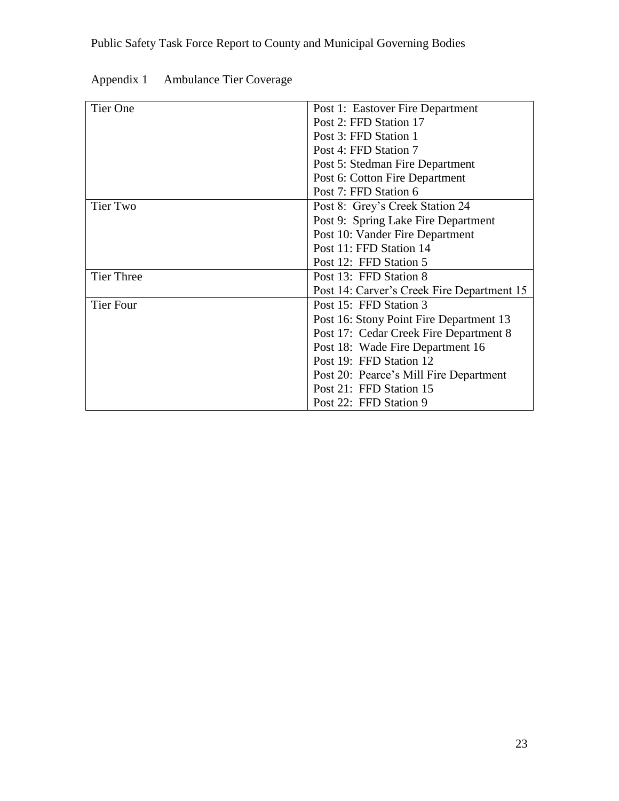| <b>Tier One</b>   | Post 1: Eastover Fire Department           |
|-------------------|--------------------------------------------|
|                   | Post 2: FFD Station 17                     |
|                   | Post 3: FFD Station 1                      |
|                   | Post 4: FFD Station 7                      |
|                   | Post 5: Stedman Fire Department            |
|                   | Post 6: Cotton Fire Department             |
|                   | Post 7: FFD Station 6                      |
| Tier Two          | Post 8: Grey's Creek Station 24            |
|                   | Post 9: Spring Lake Fire Department        |
|                   | Post 10: Vander Fire Department            |
|                   | Post 11: FFD Station 14                    |
|                   | Post 12: FFD Station 5                     |
| <b>Tier Three</b> | Post 13: FFD Station 8                     |
|                   | Post 14: Carver's Creek Fire Department 15 |
| <b>Tier Four</b>  | Post 15: FFD Station 3                     |
|                   | Post 16: Stony Point Fire Department 13    |
|                   | Post 17: Cedar Creek Fire Department 8     |
|                   | Post 18: Wade Fire Department 16           |
|                   | Post 19: FFD Station 12                    |
|                   | Post 20: Pearce's Mill Fire Department     |
|                   | Post 21: FFD Station 15                    |
|                   | Post 22: FFD Station 9                     |

| Appendix 1<br><b>Ambulance Tier Coverage</b> |  |
|----------------------------------------------|--|
|----------------------------------------------|--|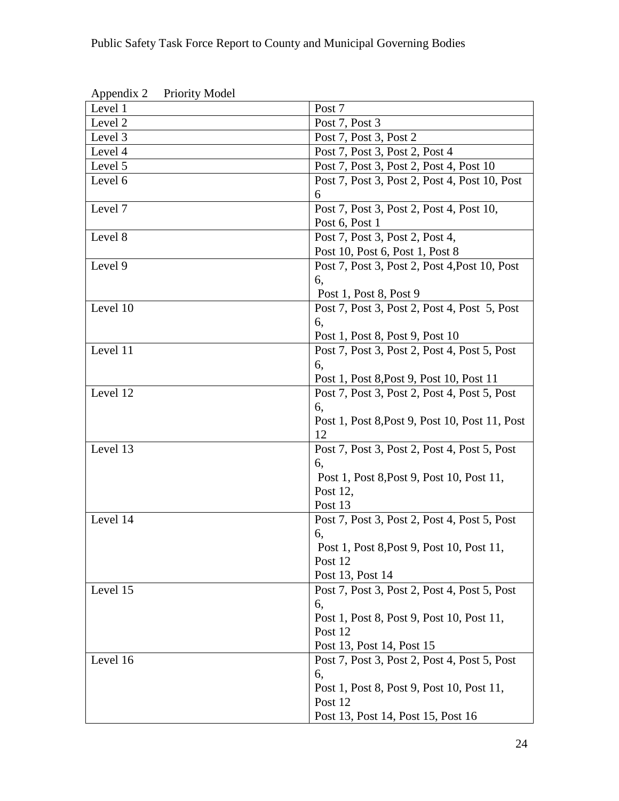| Appenuix 2<br><b>Priority Model</b> |                                                |
|-------------------------------------|------------------------------------------------|
| Level 1                             | Post 7                                         |
| Level 2                             | Post 7, Post 3                                 |
| Level 3                             | Post 7, Post 3, Post 2                         |
| Level 4                             | Post 7, Post 3, Post 2, Post 4                 |
| Level 5                             | Post 7, Post 3, Post 2, Post 4, Post 10        |
| Level 6                             | Post 7, Post 3, Post 2, Post 4, Post 10, Post  |
|                                     | 6                                              |
| Level 7                             | Post 7, Post 3, Post 2, Post 4, Post 10,       |
|                                     | Post 6, Post 1                                 |
| Level 8                             | Post 7, Post 3, Post 2, Post 4,                |
|                                     | Post 10, Post 6, Post 1, Post 8                |
| Level 9                             | Post 7, Post 3, Post 2, Post 4, Post 10, Post  |
|                                     | 6,                                             |
|                                     | Post 1, Post 8, Post 9                         |
| Level 10                            | Post 7, Post 3, Post 2, Post 4, Post 5, Post   |
|                                     | 6,                                             |
|                                     | Post 1, Post 8, Post 9, Post 10                |
| Level 11                            | Post 7, Post 3, Post 2, Post 4, Post 5, Post   |
|                                     | 6,                                             |
|                                     | Post 1, Post 8, Post 9, Post 10, Post 11       |
| Level 12                            | Post 7, Post 3, Post 2, Post 4, Post 5, Post   |
|                                     | 6,                                             |
|                                     | Post 1, Post 8, Post 9, Post 10, Post 11, Post |
|                                     | 12                                             |
| Level 13                            | Post 7, Post 3, Post 2, Post 4, Post 5, Post   |
|                                     | 6,                                             |
|                                     | Post 1, Post 8, Post 9, Post 10, Post 11,      |
|                                     | Post 12,                                       |
|                                     | Post 13                                        |
| Level 14                            | Post 7, Post 3, Post 2, Post 4, Post 5, Post   |
|                                     | 6,                                             |
|                                     | Post 1, Post 8, Post 9, Post 10, Post 11,      |
|                                     | Post 12                                        |
|                                     | Post 13, Post 14                               |
| Level 15                            | Post 7, Post 3, Post 2, Post 4, Post 5, Post   |
|                                     | 6,                                             |
|                                     | Post 1, Post 8, Post 9, Post 10, Post 11,      |
|                                     | Post 12                                        |
|                                     | Post 13, Post 14, Post 15                      |
| Level 16                            | Post 7, Post 3, Post 2, Post 4, Post 5, Post   |
|                                     | 6,                                             |
|                                     | Post 1, Post 8, Post 9, Post 10, Post 11,      |
|                                     | Post 12                                        |
|                                     | Post 13, Post 14, Post 15, Post 16             |

Appendix 2 Priority Model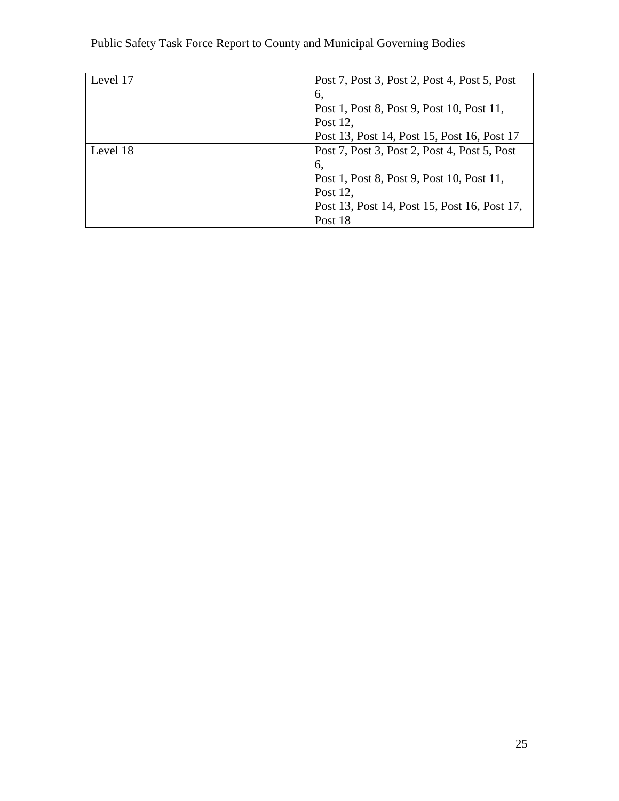| Level 17 | Post 7, Post 3, Post 2, Post 4, Post 5, Post |
|----------|----------------------------------------------|
|          | 6,                                           |
|          | Post 1, Post 8, Post 9, Post 10, Post 11,    |
|          | Post 12,                                     |
|          | Post 13, Post 14, Post 15, Post 16, Post 17  |
| Level 18 | Post 7, Post 3, Post 2, Post 4, Post 5, Post |
|          | 6.                                           |
|          | Post 1, Post 8, Post 9, Post 10, Post 11,    |
|          | Post 12,                                     |
|          | Post 13, Post 14, Post 15, Post 16, Post 17, |
|          | Post 18                                      |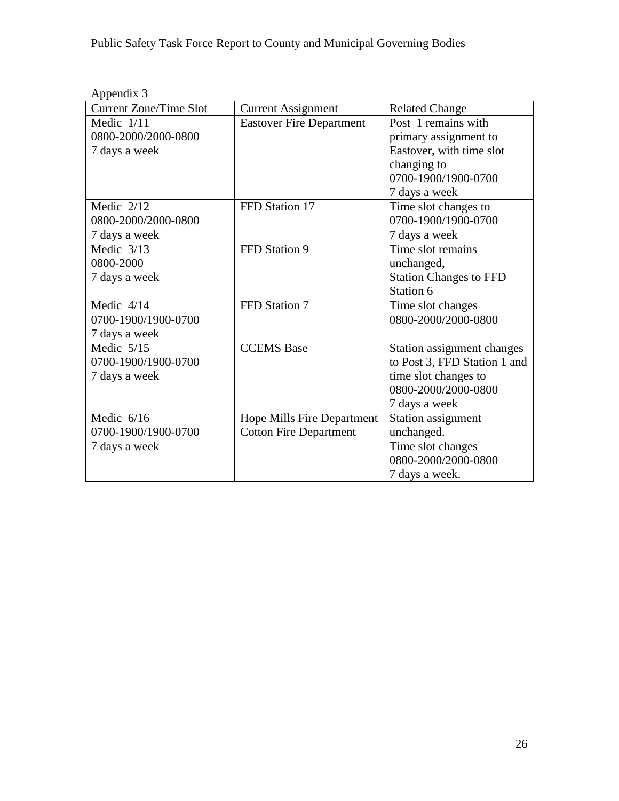| <b>Current Zone/Time Slot</b> | <b>Current Assignment</b>         | <b>Related Change</b>         |
|-------------------------------|-----------------------------------|-------------------------------|
| Medic $1/11$                  | <b>Eastover Fire Department</b>   | Post 1 remains with           |
| 0800-2000/2000-0800           |                                   | primary assignment to         |
| 7 days a week                 |                                   | Eastover, with time slot      |
|                               |                                   | changing to                   |
|                               |                                   | 0700-1900/1900-0700           |
|                               |                                   | 7 days a week                 |
| Medic $2/12$                  | FFD Station 17                    | Time slot changes to          |
| 0800-2000/2000-0800           |                                   | 0700-1900/1900-0700           |
| 7 days a week                 |                                   | 7 days a week                 |
| Medic $3/13$                  | FFD Station 9                     | Time slot remains             |
| 0800-2000                     |                                   | unchanged,                    |
| 7 days a week                 |                                   | <b>Station Changes to FFD</b> |
|                               |                                   | Station 6                     |
| Medic 4/14                    | FFD Station 7                     | Time slot changes             |
| 0700-1900/1900-0700           |                                   | 0800-2000/2000-0800           |
| 7 days a week                 |                                   |                               |
| Medic $5/15$                  | <b>CCEMS</b> Base                 | Station assignment changes    |
| 0700-1900/1900-0700           |                                   | to Post 3, FFD Station 1 and  |
| 7 days a week                 |                                   | time slot changes to          |
|                               |                                   | 0800-2000/2000-0800           |
|                               |                                   | 7 days a week                 |
| Medic $6/16$                  | <b>Hope Mills Fire Department</b> | Station assignment            |
| 0700-1900/1900-0700           | <b>Cotton Fire Department</b>     | unchanged.                    |
| 7 days a week                 |                                   | Time slot changes             |
|                               |                                   | 0800-2000/2000-0800           |
|                               |                                   | 7 days a week.                |

Appendix 3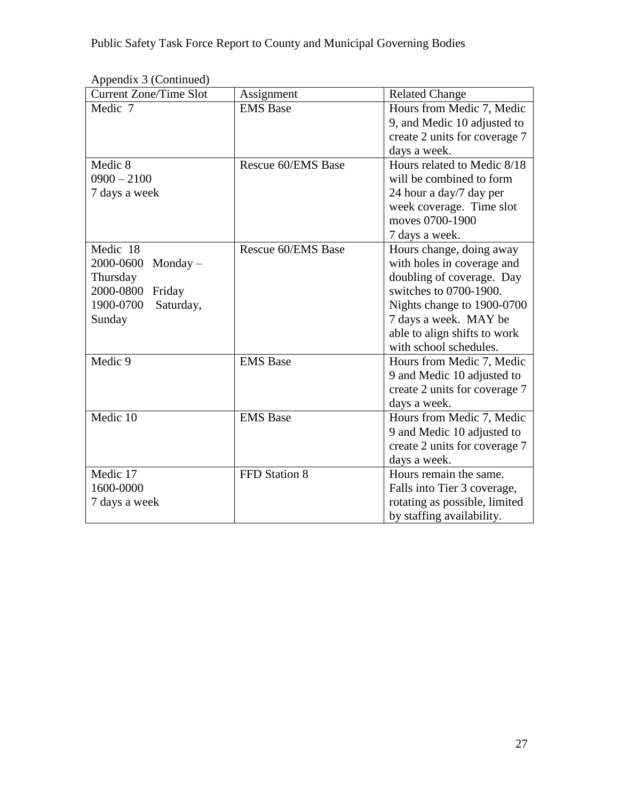| <b>Current Zone/Time Slot</b> | Assignment         | <b>Related Change</b>         |
|-------------------------------|--------------------|-------------------------------|
| Medic 7                       | <b>EMS</b> Base    | Hours from Medic 7, Medic     |
|                               |                    | 9, and Medic 10 adjusted to   |
|                               |                    | create 2 units for coverage 7 |
|                               |                    | days a week.                  |
| Medic 8                       | Rescue 60/EMS Base | Hours related to Medic 8/18   |
| $0900 - 2100$                 |                    | will be combined to form      |
| 7 days a week                 |                    | 24 hour a day/7 day per       |
|                               |                    | week coverage. Time slot      |
|                               |                    | moves 0700-1900               |
|                               |                    | 7 days a week.                |
| Medic 18                      | Rescue 60/EMS Base | Hours change, doing away      |
| 2000-0600<br>$Monday -$       |                    | with holes in coverage and    |
| Thursday                      |                    | doubling of coverage. Day     |
| 2000-0800 Friday              |                    | switches to 0700-1900.        |
| 1900-0700<br>Saturday,        |                    | Nights change to 1900-0700    |
| Sunday                        |                    | 7 days a week. MAY be         |
|                               |                    | able to align shifts to work  |
|                               |                    | with school schedules.        |
| Medic 9                       | <b>EMS</b> Base    | Hours from Medic 7, Medic     |
|                               |                    | 9 and Medic 10 adjusted to    |
|                               |                    | create 2 units for coverage 7 |
|                               |                    | days a week.                  |
| Medic $10$                    | <b>EMS</b> Base    | Hours from Medic 7, Medic     |
|                               |                    | 9 and Medic 10 adjusted to    |
|                               |                    | create 2 units for coverage 7 |
|                               |                    | days a week.                  |
| Medic 17                      | FFD Station 8      | Hours remain the same.        |
| 1600-0000                     |                    | Falls into Tier 3 coverage,   |
| 7 days a week                 |                    | rotating as possible, limited |
|                               |                    | by staffing availability.     |

Appendix 3 (Continued)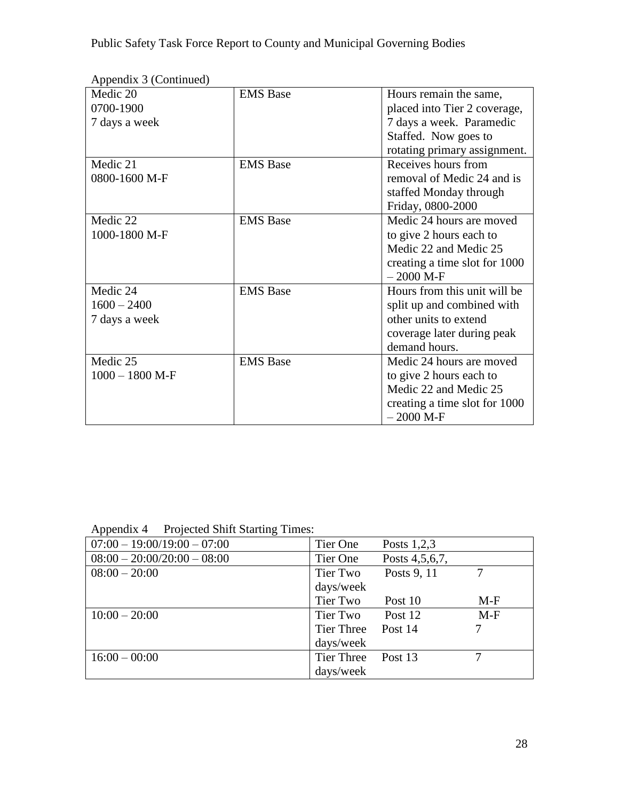| $\mu$ reponding $\sigma$ (committee)<br>Medic 20 | <b>EMS</b> Base | Hours remain the same,        |
|--------------------------------------------------|-----------------|-------------------------------|
| 0700-1900                                        |                 | placed into Tier 2 coverage,  |
| 7 days a week                                    |                 | 7 days a week. Paramedic      |
|                                                  |                 | Staffed. Now goes to          |
|                                                  |                 | rotating primary assignment.  |
| Medic 21                                         | <b>EMS</b> Base | Receives hours from           |
| 0800-1600 M-F                                    |                 | removal of Medic 24 and is    |
|                                                  |                 | staffed Monday through        |
|                                                  |                 | Friday, 0800-2000             |
| Medic 22                                         | <b>EMS</b> Base | Medic 24 hours are moved      |
| 1000-1800 M-F                                    |                 | to give 2 hours each to       |
|                                                  |                 | Medic 22 and Medic 25         |
|                                                  |                 | creating a time slot for 1000 |
|                                                  |                 | $-2000$ M-F                   |
| Medic 24                                         | <b>EMS</b> Base | Hours from this unit will be  |
| $1600 - 2400$                                    |                 | split up and combined with    |
| 7 days a week                                    |                 | other units to extend         |
|                                                  |                 | coverage later during peak    |
|                                                  |                 | demand hours.                 |
| Medic 25                                         | <b>EMS</b> Base | Medic 24 hours are moved      |
| $1000 - 1800$ M-F                                |                 | to give 2 hours each to       |
|                                                  |                 | Medic 22 and Medic 25         |
|                                                  |                 | creating a time slot for 1000 |
|                                                  |                 | $-2000$ M-F                   |

Appendix 3 (Continued)

Appendix 4 Projected Shift Starting Times:

| $\circ$<br>$07:00 - 19:00/19:00 - 07:00$ | Tier One   | Posts $1,2,3$  |       |
|------------------------------------------|------------|----------------|-------|
| $08:00 - 20:00/20:00 - 08:00$            | Tier One   | Posts 4,5,6,7, |       |
| $08:00 - 20:00$                          | Tier Two   | Posts 9, 11    |       |
|                                          | days/week  |                |       |
|                                          | Tier Two   | Post 10        | $M-F$ |
| $10:00 - 20:00$                          | Tier Two   | Post 12        | $M-F$ |
|                                          | Tier Three | Post 14        |       |
|                                          | days/week  |                |       |
| $16:00 - 00:00$                          | Tier Three | Post 13        |       |
|                                          | days/week  |                |       |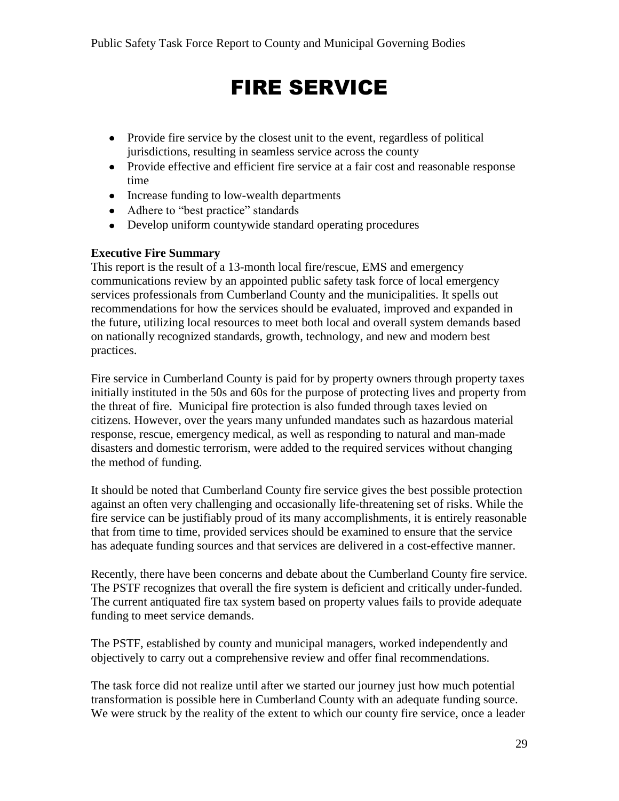# FIRE SERVICE

- Provide fire service by the closest unit to the event, regardless of political jurisdictions, resulting in seamless service across the county
- Provide effective and efficient fire service at a fair cost and reasonable response time
- Increase funding to low-wealth departments
- Adhere to "best practice" standards
- Develop uniform countywide standard operating procedures

#### **Executive Fire Summary**

This report is the result of a 13-month local fire/rescue, EMS and emergency communications review by an appointed public safety task force of local emergency services professionals from Cumberland County and the municipalities. It spells out recommendations for how the services should be evaluated, improved and expanded in the future, utilizing local resources to meet both local and overall system demands based on nationally recognized standards, growth, technology, and new and modern best practices.

Fire service in Cumberland County is paid for by property owners through property taxes initially instituted in the 50s and 60s for the purpose of protecting lives and property from the threat of fire. Municipal fire protection is also funded through taxes levied on citizens. However, over the years many unfunded mandates such as hazardous material response, rescue, emergency medical, as well as responding to natural and man-made disasters and domestic terrorism, were added to the required services without changing the method of funding.

It should be noted that Cumberland County fire service gives the best possible protection against an often very challenging and occasionally life-threatening set of risks. While the fire service can be justifiably proud of its many accomplishments, it is entirely reasonable that from time to time, provided services should be examined to ensure that the service has adequate funding sources and that services are delivered in a cost-effective manner.

Recently, there have been concerns and debate about the Cumberland County fire service. The PSTF recognizes that overall the fire system is deficient and critically under-funded. The current antiquated fire tax system based on property values fails to provide adequate funding to meet service demands.

The PSTF, established by county and municipal managers, worked independently and objectively to carry out a comprehensive review and offer final recommendations.

The task force did not realize until after we started our journey just how much potential transformation is possible here in Cumberland County with an adequate funding source. We were struck by the reality of the extent to which our county fire service, once a leader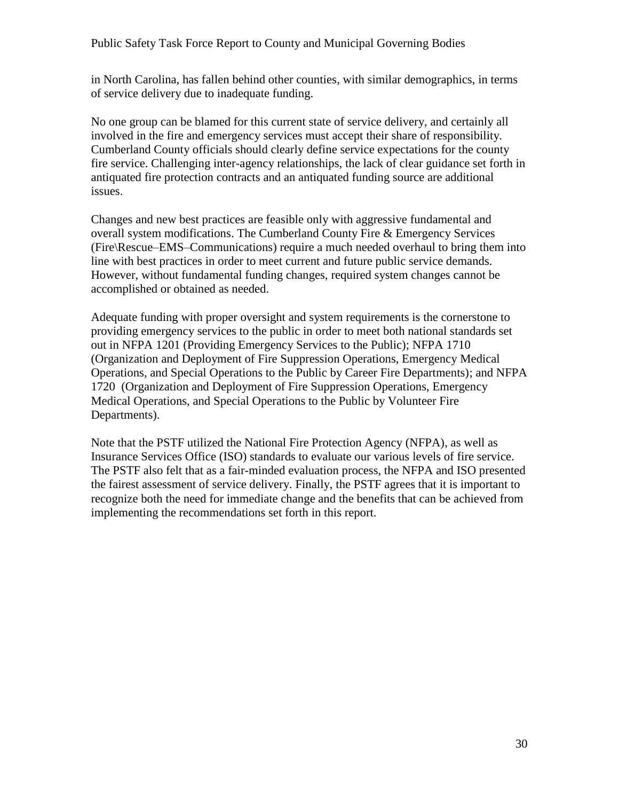in North Carolina, has fallen behind other counties, with similar demographics, in terms of service delivery due to inadequate funding.

No one group can be blamed for this current state of service delivery, and certainly all involved in the fire and emergency services must accept their share of responsibility. Cumberland County officials should clearly define service expectations for the county fire service. Challenging inter-agency relationships, the lack of clear guidance set forth in antiquated fire protection contracts and an antiquated funding source are additional issues.

Changes and new best practices are feasible only with aggressive fundamental and overall system modifications. The Cumberland County Fire & Emergency Services (Fire\Rescue–EMS–Communications) require a much needed overhaul to bring them into line with best practices in order to meet current and future public service demands. However, without fundamental funding changes, required system changes cannot be accomplished or obtained as needed.

Adequate funding with proper oversight and system requirements is the cornerstone to providing emergency services to the public in order to meet both national standards set out in NFPA 1201 (Providing Emergency Services to the Public); NFPA 1710 (Organization and Deployment of Fire Suppression Operations, Emergency Medical Operations, and Special Operations to the Public by Career Fire Departments); and NFPA 1720 (Organization and Deployment of Fire Suppression Operations, Emergency Medical Operations, and Special Operations to the Public by Volunteer Fire Departments).

Note that the PSTF utilized the National Fire Protection Agency (NFPA), as well as Insurance Services Office (ISO) standards to evaluate our various levels of fire service. The PSTF also felt that as a fair-minded evaluation process, the NFPA and ISO presented the fairest assessment of service delivery. Finally, the PSTF agrees that it is important to recognize both the need for immediate change and the benefits that can be achieved from implementing the recommendations set forth in this report.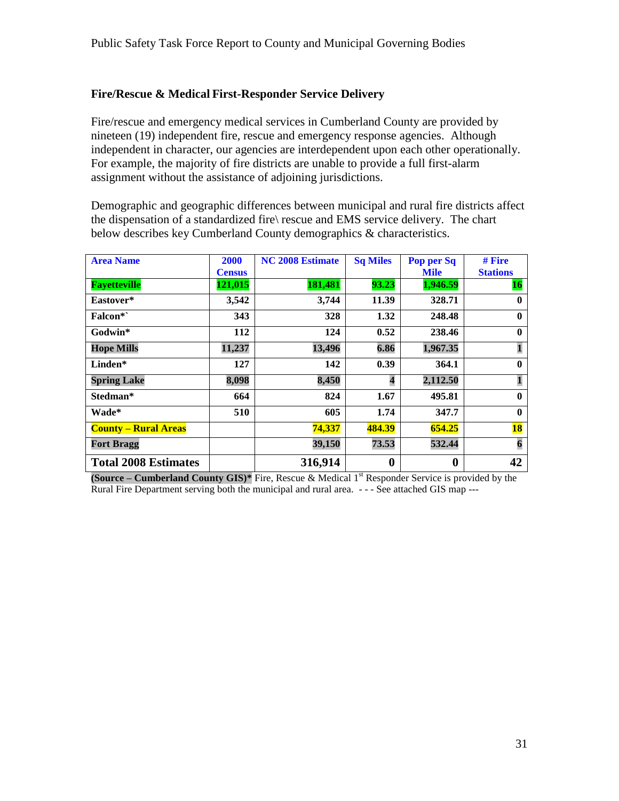### **Fire/Rescue & Medical First-Responder Service Delivery**

Fire/rescue and emergency medical services in Cumberland County are provided by nineteen (19) independent fire, rescue and emergency response agencies. Although independent in character, our agencies are interdependent upon each other operationally. For example, the majority of fire districts are unable to provide a full first-alarm assignment without the assistance of adjoining jurisdictions.

Demographic and geographic differences between municipal and rural fire districts affect the dispensation of a standardized fire\ rescue and EMS service delivery. The chart below describes key Cumberland County demographics & characteristics.

| <b>Area Name</b>            | <b>2000</b>   | <b>NC 2008 Estimate</b> | <b>Sq Miles</b>  | Pop per Sq       | # Fire          |
|-----------------------------|---------------|-------------------------|------------------|------------------|-----------------|
|                             | <b>Census</b> |                         |                  | <b>Mile</b>      | <b>Stations</b> |
| <b>Fayetteville</b>         | 121,015       | 181,481                 | 93.23            | 1,946.59         | <b>16</b>       |
| Eastover*                   | 3,542         | 3,744                   | 11.39            | 328.71           | $\bf{0}$        |
| Falcon*`                    | 343           | 328                     | 1.32             | 248.48           | $\mathbf{0}$    |
| Godwin*                     | 112           | 124                     | 0.52             | 238.46           | $\mathbf{0}$    |
| <b>Hope Mills</b>           | 11,237        | 13,496                  | 6.86             | 1,967.35         | $\mathbf{1}$    |
| Linden*                     | 127           | 142                     | 0.39             | 364.1            | $\mathbf{0}$    |
| <b>Spring Lake</b>          | 8,098         | 8,450                   | 4                | 2,112.50         | $\mathbf{1}$    |
| Stedman*                    | 664           | 824                     | 1.67             | 495.81           | $\mathbf{0}$    |
| Wade*                       | 510           | 605                     | 1.74             | 347.7            | $\mathbf{0}$    |
| <b>County – Rural Areas</b> |               | 74,337                  | 484.39           | 654.25           | <b>18</b>       |
| <b>Fort Bragg</b>           |               | 39,150                  | 73.53            | 532.44           | 6               |
| <b>Total 2008 Estimates</b> |               | 316,914                 | $\boldsymbol{0}$ | $\boldsymbol{0}$ | 42              |

**(Source – Cumberland County GIS)\*** Fire, Rescue & Medical 1st Responder Service is provided by the Rural Fire Department serving both the municipal and rural area. - - - See attached GIS map ---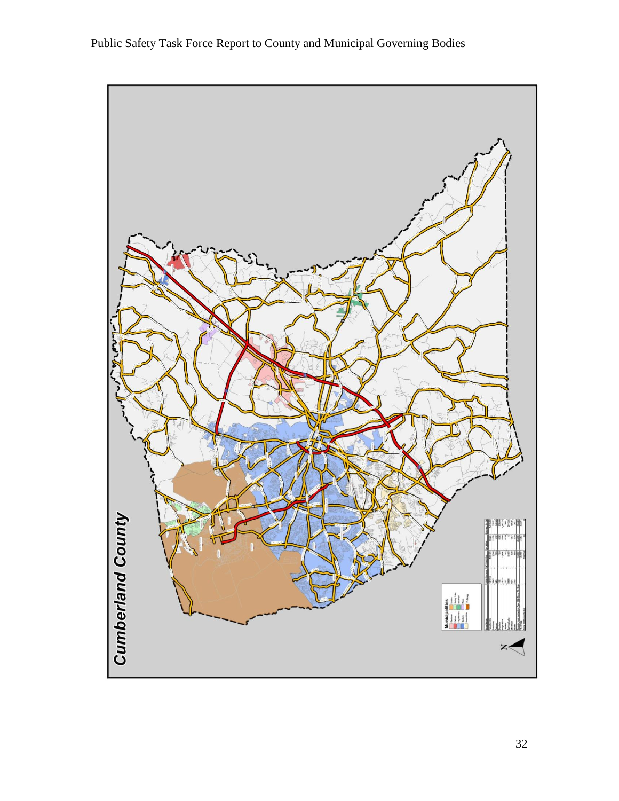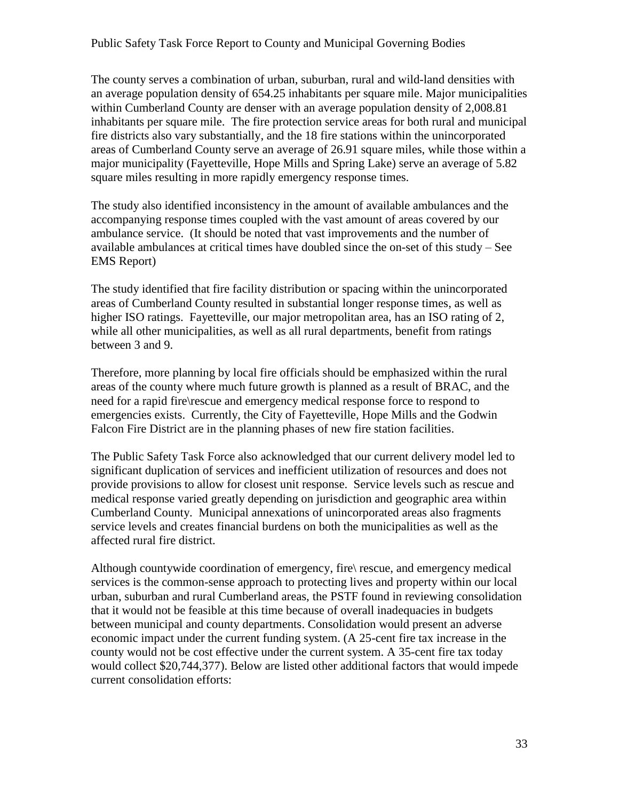The county serves a combination of urban, suburban, rural and wild-land densities with an average population density of 654.25 inhabitants per square mile. Major municipalities within Cumberland County are denser with an average population density of 2,008.81 inhabitants per square mile. The fire protection service areas for both rural and municipal fire districts also vary substantially, and the 18 fire stations within the unincorporated areas of Cumberland County serve an average of 26.91 square miles, while those within a major municipality (Fayetteville, Hope Mills and Spring Lake) serve an average of 5.82 square miles resulting in more rapidly emergency response times.

The study also identified inconsistency in the amount of available ambulances and the accompanying response times coupled with the vast amount of areas covered by our ambulance service. (It should be noted that vast improvements and the number of available ambulances at critical times have doubled since the on-set of this study – See EMS Report)

The study identified that fire facility distribution or spacing within the unincorporated areas of Cumberland County resulted in substantial longer response times, as well as higher ISO ratings. Fayetteville, our major metropolitan area, has an ISO rating of 2, while all other municipalities, as well as all rural departments, benefit from ratings between 3 and 9.

Therefore, more planning by local fire officials should be emphasized within the rural areas of the county where much future growth is planned as a result of BRAC, and the need for a rapid fire\rescue and emergency medical response force to respond to emergencies exists. Currently, the City of Fayetteville, Hope Mills and the Godwin Falcon Fire District are in the planning phases of new fire station facilities.

The Public Safety Task Force also acknowledged that our current delivery model led to significant duplication of services and inefficient utilization of resources and does not provide provisions to allow for closest unit response. Service levels such as rescue and medical response varied greatly depending on jurisdiction and geographic area within Cumberland County. Municipal annexations of unincorporated areas also fragments service levels and creates financial burdens on both the municipalities as well as the affected rural fire district.

Although countywide coordination of emergency, fire\ rescue, and emergency medical services is the common-sense approach to protecting lives and property within our local urban, suburban and rural Cumberland areas, the PSTF found in reviewing consolidation that it would not be feasible at this time because of overall inadequacies in budgets between municipal and county departments. Consolidation would present an adverse economic impact under the current funding system. (A 25-cent fire tax increase in the county would not be cost effective under the current system. A 35-cent fire tax today would collect \$20,744,377). Below are listed other additional factors that would impede current consolidation efforts: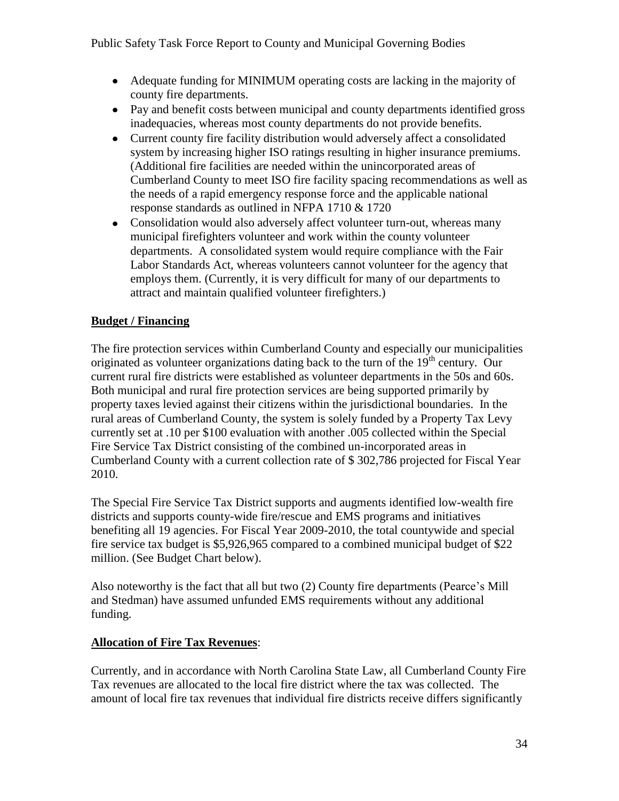- Adequate funding for MINIMUM operating costs are lacking in the majority of county fire departments.
- Pay and benefit costs between municipal and county departments identified gross inadequacies, whereas most county departments do not provide benefits.
- Current county fire facility distribution would adversely affect a consolidated system by increasing higher ISO ratings resulting in higher insurance premiums. (Additional fire facilities are needed within the unincorporated areas of Cumberland County to meet ISO fire facility spacing recommendations as well as the needs of a rapid emergency response force and the applicable national response standards as outlined in NFPA 1710 & 1720
- Consolidation would also adversely affect volunteer turn-out, whereas many municipal firefighters volunteer and work within the county volunteer departments. A consolidated system would require compliance with the Fair Labor Standards Act, whereas volunteers cannot volunteer for the agency that employs them. (Currently, it is very difficult for many of our departments to attract and maintain qualified volunteer firefighters.)

# **Budget / Financing**

The fire protection services within Cumberland County and especially our municipalities originated as volunteer organizations dating back to the turn of the  $19<sup>th</sup>$  century. Our current rural fire districts were established as volunteer departments in the 50s and 60s. Both municipal and rural fire protection services are being supported primarily by property taxes levied against their citizens within the jurisdictional boundaries. In the rural areas of Cumberland County, the system is solely funded by a Property Tax Levy currently set at .10 per \$100 evaluation with another .005 collected within the Special Fire Service Tax District consisting of the combined un-incorporated areas in Cumberland County with a current collection rate of \$ 302,786 projected for Fiscal Year 2010.

The Special Fire Service Tax District supports and augments identified low-wealth fire districts and supports county-wide fire/rescue and EMS programs and initiatives benefiting all 19 agencies. For Fiscal Year 2009-2010, the total countywide and special fire service tax budget is \$5,926,965 compared to a combined municipal budget of \$22 million. (See Budget Chart below).

Also noteworthy is the fact that all but two (2) County fire departments (Pearce's Mill and Stedman) have assumed unfunded EMS requirements without any additional funding.

# **Allocation of Fire Tax Revenues**:

Currently, and in accordance with North Carolina State Law, all Cumberland County Fire Tax revenues are allocated to the local fire district where the tax was collected. The amount of local fire tax revenues that individual fire districts receive differs significantly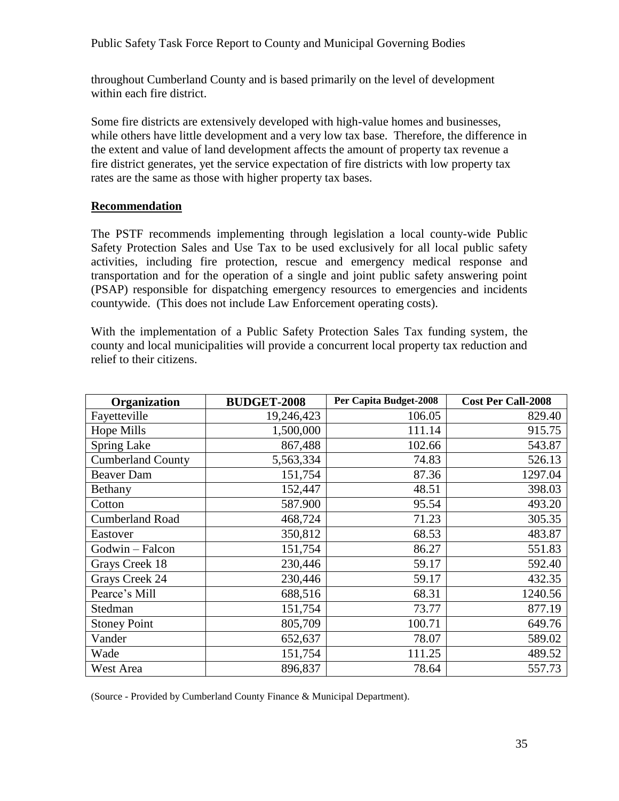throughout Cumberland County and is based primarily on the level of development within each fire district.

Some fire districts are extensively developed with high-value homes and businesses, while others have little development and a very low tax base. Therefore, the difference in the extent and value of land development affects the amount of property tax revenue a fire district generates, yet the service expectation of fire districts with low property tax rates are the same as those with higher property tax bases.

#### **Recommendation**

The PSTF recommends implementing through legislation a local county-wide Public Safety Protection Sales and Use Tax to be used exclusively for all local public safety activities, including fire protection, rescue and emergency medical response and transportation and for the operation of a single and joint public safety answering point (PSAP) responsible for dispatching emergency resources to emergencies and incidents countywide. (This does not include Law Enforcement operating costs).

With the implementation of a Public Safety Protection Sales Tax funding system, the county and local municipalities will provide a concurrent local property tax reduction and relief to their citizens.

| Organization             | <b>BUDGET-2008</b> | Per Capita Budget-2008 | <b>Cost Per Call-2008</b> |
|--------------------------|--------------------|------------------------|---------------------------|
| Fayetteville             | 19,246,423         | 106.05                 | 829.40                    |
| <b>Hope Mills</b>        | 1,500,000          | 111.14                 | 915.75                    |
| <b>Spring Lake</b>       | 867,488            | 102.66                 | 543.87                    |
| <b>Cumberland County</b> | 5,563,334          | 74.83                  | 526.13                    |
| <b>Beaver Dam</b>        | 151,754            | 87.36                  | 1297.04                   |
| Bethany                  | 152,447            | 48.51                  | 398.03                    |
| Cotton                   | 587.900            | 95.54                  | 493.20                    |
| <b>Cumberland Road</b>   | 468,724            | 71.23                  | 305.35                    |
| Eastover                 | 350,812            | 68.53                  | 483.87                    |
| Godwin - Falcon          | 151,754            | 86.27                  | 551.83                    |
| Grays Creek 18           | 230,446            | 59.17                  | 592.40                    |
| Grays Creek 24           | 230,446            | 59.17                  | 432.35                    |
| Pearce's Mill            | 688,516            | 68.31                  | 1240.56                   |
| Stedman                  | 151,754            | 73.77                  | 877.19                    |
| <b>Stoney Point</b>      | 805,709            | 100.71                 | 649.76                    |
| Vander                   | 652,637            | 78.07                  | 589.02                    |
| Wade                     | 151,754            | 111.25                 | 489.52                    |
| West Area                | 896,837            | 78.64                  | 557.73                    |

(Source - Provided by Cumberland County Finance & Municipal Department).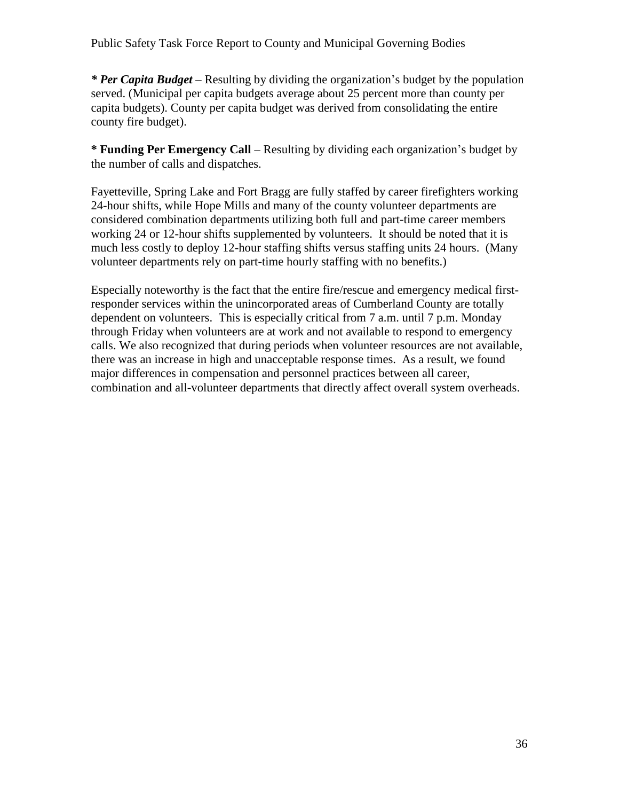*\* Per Capita Budget* – Resulting by dividing the organization's budget by the population served. (Municipal per capita budgets average about 25 percent more than county per capita budgets). County per capita budget was derived from consolidating the entire county fire budget).

**\* Funding Per Emergency Call** – Resulting by dividing each organization's budget by the number of calls and dispatches.

Fayetteville, Spring Lake and Fort Bragg are fully staffed by career firefighters working 24-hour shifts, while Hope Mills and many of the county volunteer departments are considered combination departments utilizing both full and part-time career members working 24 or 12-hour shifts supplemented by volunteers. It should be noted that it is much less costly to deploy 12-hour staffing shifts versus staffing units 24 hours. (Many volunteer departments rely on part-time hourly staffing with no benefits.)

Especially noteworthy is the fact that the entire fire/rescue and emergency medical firstresponder services within the unincorporated areas of Cumberland County are totally dependent on volunteers. This is especially critical from 7 a.m. until 7 p.m. Monday through Friday when volunteers are at work and not available to respond to emergency calls. We also recognized that during periods when volunteer resources are not available, there was an increase in high and unacceptable response times. As a result, we found major differences in compensation and personnel practices between all career, combination and all-volunteer departments that directly affect overall system overheads.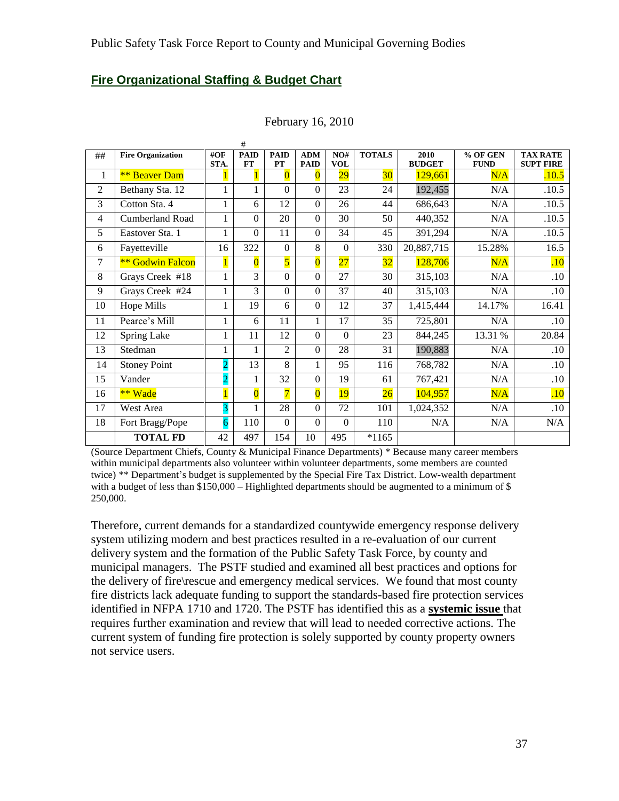#### **Fire Organizational Staffing & Budget Chart**

|                |                          |                | #                       |                   |                           |                   |                 |                       |                         |                                     |
|----------------|--------------------------|----------------|-------------------------|-------------------|---------------------------|-------------------|-----------------|-----------------------|-------------------------|-------------------------------------|
| ##             | <b>Fire Organization</b> | #OF<br>STA.    | <b>PAID</b><br>FT       | <b>PAID</b><br>PT | <b>ADM</b><br><b>PAID</b> | NO#<br><b>VOL</b> | <b>TOTALS</b>   | 2010<br><b>BUDGET</b> | % OF GEN<br><b>FUND</b> | <b>TAX RATE</b><br><b>SUPT FIRE</b> |
| 1              | <b>** Beaver Dam</b>     |                |                         | $\overline{0}$    | $\bf{0}$                  | $\overline{29}$   | 30 <sup>°</sup> | 129,661               | N/A                     | .10.5                               |
| $\overline{c}$ | Bethany Sta. 12          | 1              | 1                       | $\overline{0}$    | $\Omega$                  | 23                | 24              | 192,455               | N/A                     | .10.5                               |
| 3              | Cotton Sta. 4            | 1              | 6                       | 12                | $\Omega$                  | 26                | 44              | 686,643               | N/A                     | .10.5                               |
| 4              | Cumberland Road          | 1              | $\theta$                | 20                | $\Omega$                  | 30                | 50              | 440,352               | N/A                     | .10.5                               |
| 5              | Eastover Sta. 1          | 1              | $\theta$                | 11                | $\Omega$                  | 34                | 45              | 391,294               | N/A                     | .10.5                               |
| 6              | Fayetteville             | 16             | 322                     | $\overline{0}$    | 8                         | $\boldsymbol{0}$  | 330             | 20,887,715            | 15.28%                  | 16.5                                |
| 7              | <b>** Godwin Falcon</b>  | $\overline{1}$ | $\overline{\mathbf{0}}$ | 5                 | $\overline{\mathbf{0}}$   | 27                | 32              | 128,706               | N/A                     | .10                                 |
| 8              | Grays Creek #18          | 1              | 3                       | $\Omega$          | $\Omega$                  | 27                | 30              | 315,103               | N/A                     | .10                                 |
| 9              | Grays Creek #24          | 1              | 3                       | $\overline{0}$    | $\Omega$                  | 37                | 40              | 315,103               | N/A                     | .10                                 |
| 10             | Hope Mills               | 1              | 19                      | 6                 | $\Omega$                  | 12                | 37              | 1,415,444             | 14.17%                  | 16.41                               |
| 11             | Pearce's Mill            | 1              | 6                       | 11                | 1                         | 17                | 35              | 725,801               | N/A                     | .10                                 |
| 12             | Spring Lake              | 1              | 11                      | 12                | $\mathbf{0}$              | $\overline{0}$    | 23              | 844,245               | 13.31 %                 | 20.84                               |
| 13             | Stedman                  |                | 1                       | $\overline{2}$    | $\Omega$                  | 28                | 31              | 190,883               | N/A                     | .10                                 |
| 14             | <b>Stoney Point</b>      |                | 13                      | 8                 | 1                         | 95                | 116             | 768,782               | N/A                     | .10                                 |
| 15             | Vander                   | $\overline{O}$ | 1                       | 32                | $\Omega$                  | 19                | 61              | 767,421               | N/A                     | .10                                 |
| 16             | ** Wade                  |                | $\overline{\mathbf{0}}$ | $\overline{7}$    | $\overline{\mathbf{0}}$   | <b>19</b>         | 26              | 104,957               | N/A                     | .10                                 |
| 17             | West Area                | 3              | 1                       | 28                | $\Omega$                  | 72                | 101             | 1,024,352             | N/A                     | .10                                 |
| 18             | Fort Bragg/Pope          | 6              | 110                     | $\boldsymbol{0}$  | $\overline{0}$            | $\boldsymbol{0}$  | 110             | N/A                   | N/A                     | N/A                                 |
|                | <b>TOTAL FD</b>          | 42             | 497                     | 154               | 10                        | 495               | $*1165$         |                       |                         |                                     |

#### February 16, 2010

(Source Department Chiefs, County & Municipal Finance Departments) \* Because many career members within municipal departments also volunteer within volunteer departments, some members are counted twice) \*\* Department's budget is supplemented by the Special Fire Tax District. Low-wealth department with a budget of less than  $$150,000 - High lighted departments should be augmented to a minimum of $$ 250,000.

Therefore, current demands for a standardized countywide emergency response delivery system utilizing modern and best practices resulted in a re-evaluation of our current delivery system and the formation of the Public Safety Task Force, by county and municipal managers. The PSTF studied and examined all best practices and options for the delivery of fire\rescue and emergency medical services. We found that most county fire districts lack adequate funding to support the standards-based fire protection services identified in NFPA 1710 and 1720. The PSTF has identified this as a **systemic issue** that requires further examination and review that will lead to needed corrective actions. The current system of funding fire protection is solely supported by county property owners not service users.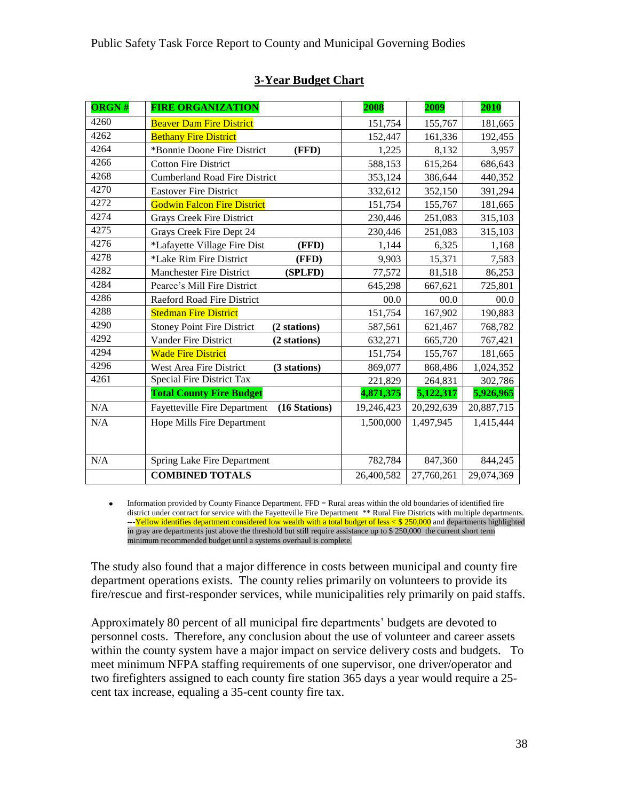| <b>ORGN#</b> | <b>FIRE ORGANIZATION</b>                             | 2008       | 2009       | 2010       |
|--------------|------------------------------------------------------|------------|------------|------------|
| 4260         | <b>Beaver Dam Fire District</b>                      | 151,754    | 155,767    | 181,665    |
| 4262         | <b>Bethany Fire District</b>                         | 152,447    | 161,336    | 192,455    |
| 4264         | *Bonnie Doone Fire District<br>(FFD)                 | 1,225      | 8,132      | 3,957      |
| 4266         | <b>Cotton Fire District</b>                          | 588,153    | 615,264    | 686,643    |
| 4268         | <b>Cumberland Road Fire District</b>                 | 353,124    | 386,644    | 440,352    |
| 4270         | <b>Eastover Fire District</b>                        | 332,612    | 352,150    | 391,294    |
| 4272         | <b>Godwin Falcon Fire District</b>                   | 151,754    | 155,767    | 181,665    |
| 4274         | <b>Grays Creek Fire District</b>                     | 230,446    | 251,083    | 315,103    |
| 4275         | Grays Creek Fire Dept 24                             | 230,446    | 251,083    | 315,103    |
| 4276         | *Lafayette Village Fire Dist<br>(FFD)                | 1,144      | 6,325      | 1,168      |
| 4278         | *Lake Rim Fire District<br>(FFD)                     | 9,903      | 15,371     | 7,583      |
| 4282         | <b>Manchester Fire District</b><br>(SPLFD)           | 77,572     | 81,518     | 86,253     |
| 4284         | Pearce's Mill Fire District                          | 645,298    | 667,621    | 725,801    |
| 4286         | Raeford Road Fire District                           | 00.0       | 00.0       | 00.0       |
| 4288         | <b>Stedman Fire District</b>                         | 151,754    | 167,902    | 190,883    |
| 4290         | <b>Stoney Point Fire District</b><br>(2 stations)    | 587,561    | 621,467    | 768,782    |
| 4292         | Vander Fire District<br>(2 stations)                 | 632,271    | 665,720    | 767,421    |
| 4294         | <b>Wade Fire District</b>                            | 151,754    | 155,767    | 181,665    |
| 4296         | West Area Fire District<br>(3 stations)              | 869,077    | 868,486    | 1,024,352  |
| 4261         | Special Fire District Tax                            | 221,829    | 264,831    | 302,786    |
|              | <b>Total County Fire Budget</b>                      | 4,871,375  | 5,122,317  | 5,926,965  |
| N/A          | <b>Fayetteville Fire Department</b><br>(16 Stations) | 19,246,423 | 20,292,639 | 20,887,715 |
| N/A          | Hope Mills Fire Department                           | 1,500,000  | 1,497,945  | 1,415,444  |
|              |                                                      |            |            |            |
| N/A          | <b>Spring Lake Fire Department</b>                   | 782,784    | 847,360    | 844,245    |
|              | <b>COMBINED TOTALS</b>                               | 26,400,582 | 27,760,261 | 29,074,369 |

# **3-Year Budget Chart**

Information provided by County Finance Department. FFD = Rural areas within the old boundaries of identified fire  $\bullet$ district under contract for service with the Fayetteville Fire Department \*\* Rural Fire Districts with multiple departments. ---Yellow identifies department considered low wealth with a total budget of less < \$ 250,000 and departments highlighted in gray are departments just above the threshold but still require assistance up to \$ 250,000 the current short term minimum recommended budget until a systems overhaul is complete.

The study also found that a major difference in costs between municipal and county fire department operations exists. The county relies primarily on volunteers to provide its fire/rescue and first-responder services, while municipalities rely primarily on paid staffs.

Approximately 80 percent of all municipal fire departments' budgets are devoted to personnel costs. Therefore, any conclusion about the use of volunteer and career assets within the county system have a major impact on service delivery costs and budgets. To meet minimum NFPA staffing requirements of one supervisor, one driver/operator and two firefighters assigned to each county fire station 365 days a year would require a 25 cent tax increase, equaling a 35-cent county fire tax.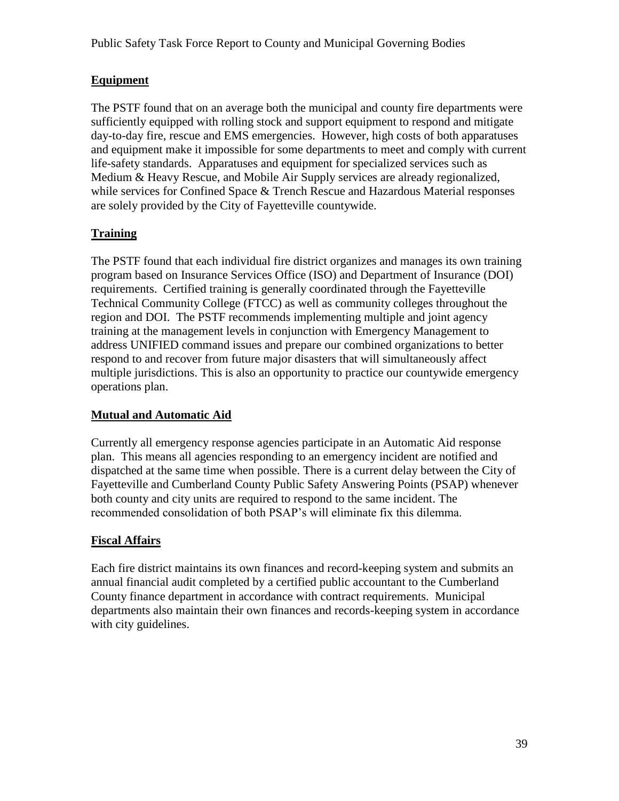# **Equipment**

The PSTF found that on an average both the municipal and county fire departments were sufficiently equipped with rolling stock and support equipment to respond and mitigate day-to-day fire, rescue and EMS emergencies. However, high costs of both apparatuses and equipment make it impossible for some departments to meet and comply with current life-safety standards. Apparatuses and equipment for specialized services such as Medium & Heavy Rescue, and Mobile Air Supply services are already regionalized, while services for Confined Space & Trench Rescue and Hazardous Material responses are solely provided by the City of Fayetteville countywide.

# **Training**

The PSTF found that each individual fire district organizes and manages its own training program based on Insurance Services Office (ISO) and Department of Insurance (DOI) requirements. Certified training is generally coordinated through the Fayetteville Technical Community College (FTCC) as well as community colleges throughout the region and DOI. The PSTF recommends implementing multiple and joint agency training at the management levels in conjunction with Emergency Management to address UNIFIED command issues and prepare our combined organizations to better respond to and recover from future major disasters that will simultaneously affect multiple jurisdictions. This is also an opportunity to practice our countywide emergency operations plan.

# **Mutual and Automatic Aid**

Currently all emergency response agencies participate in an Automatic Aid response plan. This means all agencies responding to an emergency incident are notified and dispatched at the same time when possible. There is a current delay between the City of Fayetteville and Cumberland County Public Safety Answering Points (PSAP) whenever both county and city units are required to respond to the same incident. The recommended consolidation of both PSAP's will eliminate fix this dilemma.

#### **Fiscal Affairs**

Each fire district maintains its own finances and record-keeping system and submits an annual financial audit completed by a certified public accountant to the Cumberland County finance department in accordance with contract requirements. Municipal departments also maintain their own finances and records-keeping system in accordance with city guidelines.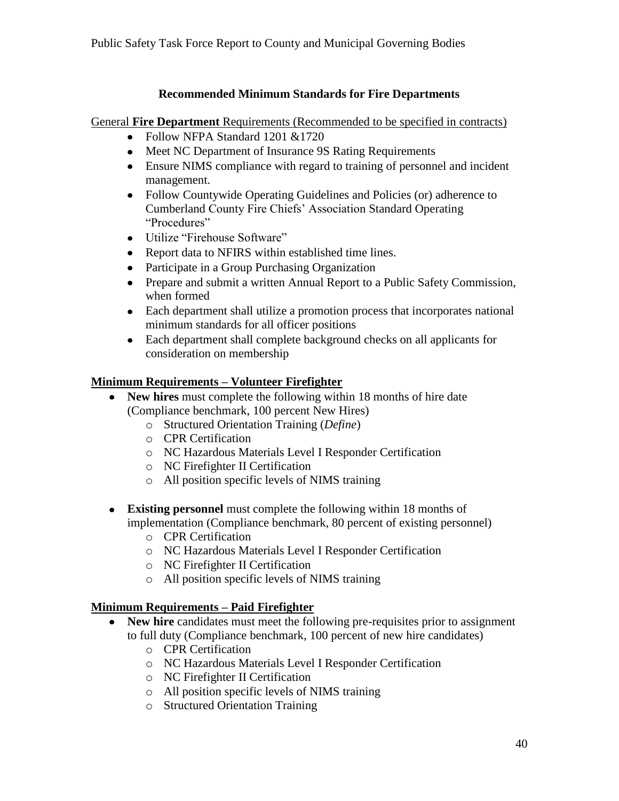# **Recommended Minimum Standards for Fire Departments**

General **Fire Department** Requirements (Recommended to be specified in contracts)

- Follow NFPA Standard 1201 & 1720
- Meet NC Department of Insurance 9S Rating Requirements
- Ensure NIMS compliance with regard to training of personnel and incident management.
- Follow Countywide Operating Guidelines and Policies (or) adherence to Cumberland County Fire Chiefs' Association Standard Operating "Procedures"
- Utilize "Firehouse Software"
- Report data to NFIRS within established time lines.
- Participate in a Group Purchasing Organization
- Prepare and submit a written Annual Report to a Public Safety Commission, when formed
- Each department shall utilize a promotion process that incorporates national minimum standards for all officer positions
- Each department shall complete background checks on all applicants for consideration on membership

## **Minimum Requirements – Volunteer Firefighter**

- **New hires** must complete the following within 18 months of hire date (Compliance benchmark, 100 percent New Hires)
	- o Structured Orientation Training (*Define*)
	- o CPR Certification
	- o NC Hazardous Materials Level I Responder Certification
	- o NC Firefighter II Certification
	- o All position specific levels of NIMS training
- **Existing personnel** must complete the following within 18 months of implementation (Compliance benchmark, 80 percent of existing personnel)
	- o CPR Certification
	- o NC Hazardous Materials Level I Responder Certification
	- o NC Firefighter II Certification
	- o All position specific levels of NIMS training

# **Minimum Requirements – Paid Firefighter**

- New hire candidates must meet the following pre-requisites prior to assignment to full duty (Compliance benchmark, 100 percent of new hire candidates)
	- o CPR Certification
	- o NC Hazardous Materials Level I Responder Certification
	- o NC Firefighter II Certification
	- o All position specific levels of NIMS training
	- o Structured Orientation Training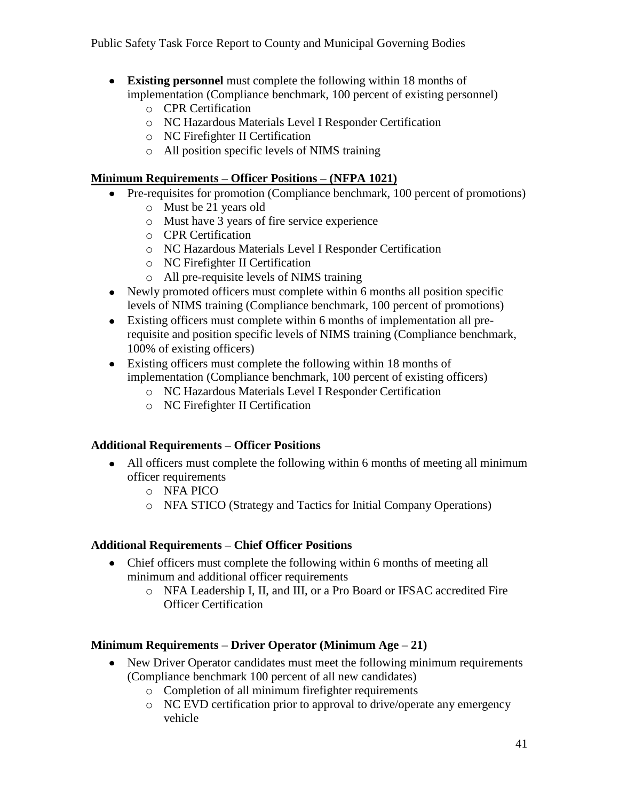- **Existing personnel** must complete the following within 18 months of implementation (Compliance benchmark, 100 percent of existing personnel)
	- o CPR Certification
	- o NC Hazardous Materials Level I Responder Certification
	- o NC Firefighter II Certification
	- o All position specific levels of NIMS training

## **Minimum Requirements – Officer Positions – (NFPA 1021)**

- Pre-requisites for promotion (Compliance benchmark, 100 percent of promotions)
	- o Must be 21 years old
	- o Must have 3 years of fire service experience
	- o CPR Certification
	- o NC Hazardous Materials Level I Responder Certification
	- o NC Firefighter II Certification
	- o All pre-requisite levels of NIMS training
- Newly promoted officers must complete within 6 months all position specific levels of NIMS training (Compliance benchmark, 100 percent of promotions)
- Existing officers must complete within 6 months of implementation all prerequisite and position specific levels of NIMS training (Compliance benchmark, 100% of existing officers)
- Existing officers must complete the following within 18 months of implementation (Compliance benchmark, 100 percent of existing officers)
	- o NC Hazardous Materials Level I Responder Certification
	- o NC Firefighter II Certification

# **Additional Requirements – Officer Positions**

- All officers must complete the following within 6 months of meeting all minimum officer requirements
	- o NFA PICO
	- o NFA STICO (Strategy and Tactics for Initial Company Operations)

#### **Additional Requirements – Chief Officer Positions**

- Chief officers must complete the following within 6 months of meeting all minimum and additional officer requirements
	- o NFA Leadership I, II, and III, or a Pro Board or IFSAC accredited Fire Officer Certification

# **Minimum Requirements – Driver Operator (Minimum Age – 21)**

- New Driver Operator candidates must meet the following minimum requirements (Compliance benchmark 100 percent of all new candidates)
	- o Completion of all minimum firefighter requirements
	- o NC EVD certification prior to approval to drive/operate any emergency vehicle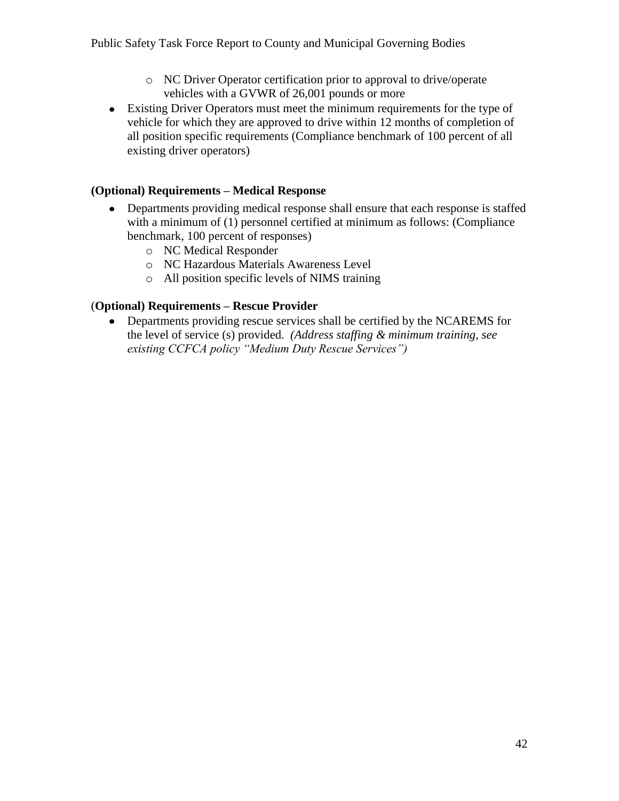- o NC Driver Operator certification prior to approval to drive/operate vehicles with a GVWR of 26,001 pounds or more
- Existing Driver Operators must meet the minimum requirements for the type of vehicle for which they are approved to drive within 12 months of completion of all position specific requirements (Compliance benchmark of 100 percent of all existing driver operators)

### **(Optional) Requirements – Medical Response**

- Departments providing medical response shall ensure that each response is staffed with a minimum of (1) personnel certified at minimum as follows: (Compliance benchmark, 100 percent of responses)
	- o NC Medical Responder
	- o NC Hazardous Materials Awareness Level
	- o All position specific levels of NIMS training

# (**Optional) Requirements – Rescue Provider**

Departments providing rescue services shall be certified by the NCAREMS for the level of service (s) provided. *(Address staffing & minimum training, see existing CCFCA policy "Medium Duty Rescue Services")*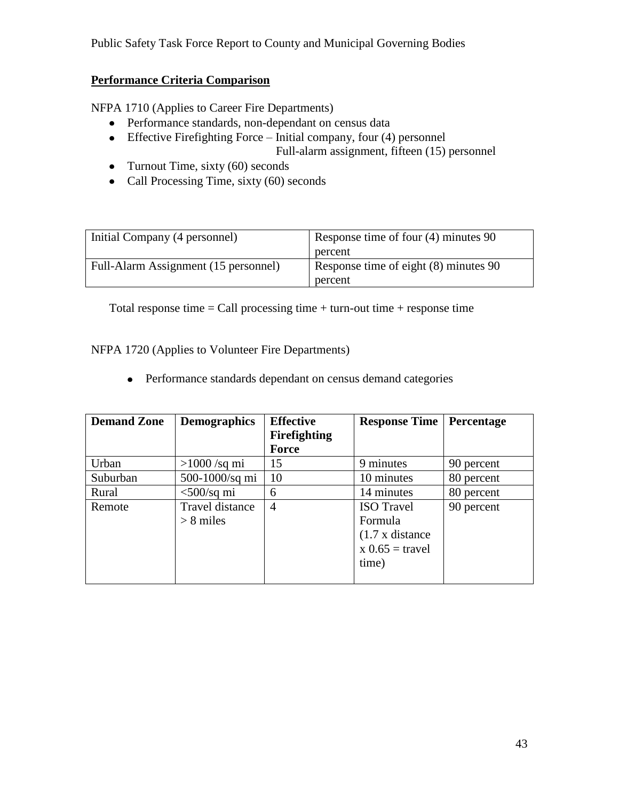# **Performance Criteria Comparison**

NFPA 1710 (Applies to Career Fire Departments)

- Performance standards, non-dependant on census data
- Effective Firefighting Force Initial company, four (4) personnel Full-alarm assignment, fifteen (15) personnel
- Turnout Time, sixty  $(60)$  seconds
- Call Processing Time, sixty (60) seconds

| Initial Company (4 personnel)        | Response time of four (4) minutes 90    |
|--------------------------------------|-----------------------------------------|
|                                      | percent                                 |
| Full-Alarm Assignment (15 personnel) | Response time of eight $(8)$ minutes 90 |
|                                      | percent                                 |

Total response time  $=$  Call processing time  $+$  turn-out time  $+$  response time

NFPA 1720 (Applies to Volunteer Fire Departments)

Performance standards dependant on census demand categories

| <b>Demand Zone</b> | <b>Demographics</b> | <b>Effective</b><br><b>Firefighting</b> | <b>Response Time</b>   | Percentage |
|--------------------|---------------------|-----------------------------------------|------------------------|------------|
|                    |                     | Force                                   |                        |            |
| Urban              | $>1000$ /sq mi      | 15                                      | 9 minutes              | 90 percent |
| Suburban           | 500-1000/sq mi      | 10                                      | 10 minutes             | 80 percent |
| Rural              | $<$ 500/sq mi       | 6                                       | 14 minutes             | 80 percent |
| Remote             | Travel distance     | $\overline{4}$                          | <b>ISO</b> Travel      | 90 percent |
|                    | $> 8$ miles         |                                         | Formula                |            |
|                    |                     |                                         | $(1.7 \times$ distance |            |
|                    |                     |                                         | $x 0.65 =$ travel      |            |
|                    |                     |                                         | time)                  |            |
|                    |                     |                                         |                        |            |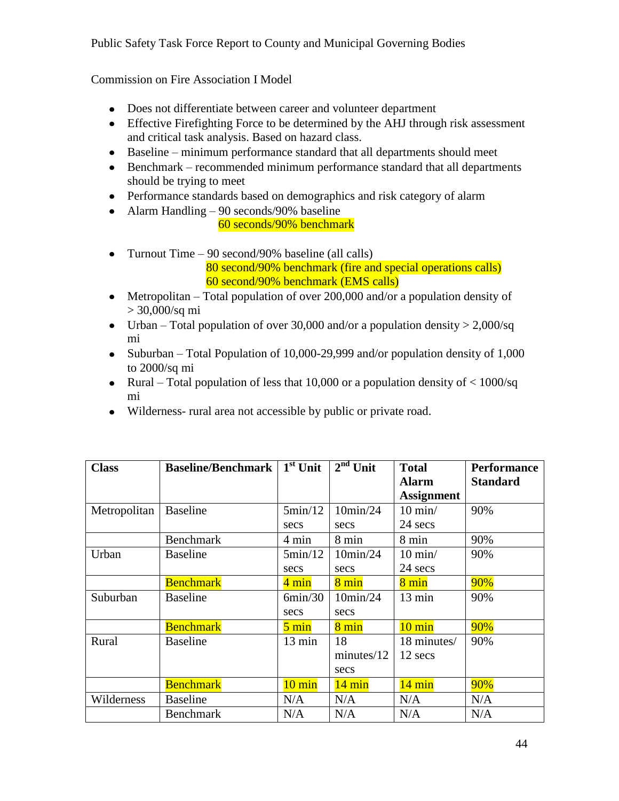Commission on Fire Association I Model

- Does not differentiate between career and volunteer department
- Effective Firefighting Force to be determined by the AHJ through risk assessment and critical task analysis. Based on hazard class.
- Baseline minimum performance standard that all departments should meet
- Benchmark recommended minimum performance standard that all departments should be trying to meet
- Performance standards based on demographics and risk category of alarm
- Alarm Handling 90 seconds/90% baseline
	- 60 seconds/90% benchmark
- Turnout Time  $-90$  second/90% baseline (all calls) 80 second/90% benchmark (fire and special operations calls) 60 second/90% benchmark (EMS calls)
- Metropolitan Total population of over 200,000 and/or a population density of > 30,000/sq mi
- Urban Total population of over 30,000 and/or a population density  $> 2,000/\text{sq}$ mi
- Suburban Total Population of 10,000-29,999 and/or population density of  $1,000$ to 2000/sq mi
- Rural Total population of less that 10,000 or a population density of  $<$  1000/sq mi
- Wilderness- rural area not accessible by public or private road.

| <b>Class</b> | <b>Baseline/Benchmark</b> $\vert 1^{st}$ Unit |                  | $2nd$ Unit       | <b>Total</b>      | <b>Performance</b> |
|--------------|-----------------------------------------------|------------------|------------------|-------------------|--------------------|
|              |                                               |                  |                  | <b>Alarm</b>      | <b>Standard</b>    |
|              |                                               |                  |                  | <b>Assignment</b> |                    |
| Metropolitan | <b>Baseline</b>                               | 5min/12          | 10min/24         | $10$ min/         | 90%                |
|              |                                               | secs             | secs             | 24 secs           |                    |
|              | <b>Benchmark</b>                              | 4 min            | 8 min            | 8 min             | 90%                |
| Urban        | <b>Baseline</b>                               | 5min/12          | 10min/24         | $10 \text{ min}$  | 90%                |
|              |                                               | secs             | secs             | 24 secs           |                    |
|              | <b>Benchmark</b>                              | 4 min            | $8 \text{ min}$  | $8 \text{ min}$   | 90%                |
| Suburban     | <b>Baseline</b>                               | 6min/30          | 10min/24         | 13 min            | 90%                |
|              |                                               | secs             | secs             |                   |                    |
|              | <b>Benchmark</b>                              | $5 \text{ min}$  | $8 \text{ min}$  | $10 \text{ min}$  | 90%                |
| Rural        | <b>Baseline</b>                               | 13 min           | 18               | 18 minutes/       | 90%                |
|              |                                               |                  | minutes/12       | 12 secs           |                    |
|              |                                               |                  | secs             |                   |                    |
|              | <b>Benchmark</b>                              | $10 \text{ min}$ | $14 \text{ min}$ | $14 \text{ min}$  | 90%                |
| Wilderness   | <b>Baseline</b>                               | N/A              | N/A              | N/A               | N/A                |
|              | <b>Benchmark</b>                              | N/A              | N/A              | N/A               | N/A                |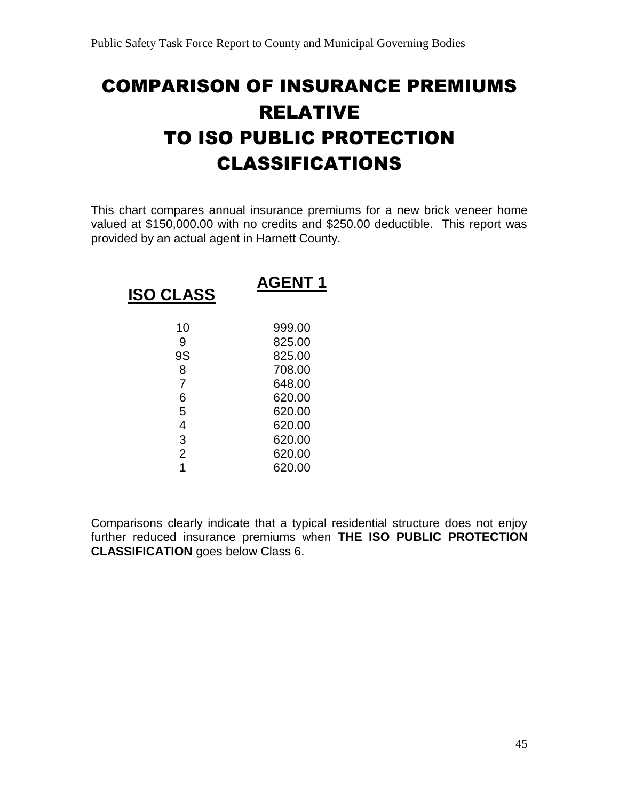# COMPARISON OF INSURANCE PREMIUMS RELATIVE TO ISO PUBLIC PROTECTION CLASSIFICATIONS

This chart compares annual insurance premiums for a new brick veneer home valued at \$150,000.00 with no credits and \$250.00 deductible. This report was provided by an actual agent in Harnett County.

| <b>ISO CLASS</b> | <b>AGENT 1</b> |
|------------------|----------------|
| 10               | 999.00         |
| 9                | 825.00         |
| 9S               | 825.00         |
| 8                | 708.00         |
| 7                | 648.00         |
| 6                | 620.00         |
| 5                | 620.00         |
| 4                | 620.00         |
| 3                | 620.00         |
| $\overline{2}$   | 620.00         |
|                  | 620.00         |

Comparisons clearly indicate that a typical residential structure does not enjoy further reduced insurance premiums when **THE ISO PUBLIC PROTECTION CLASSIFICATION** goes below Class 6.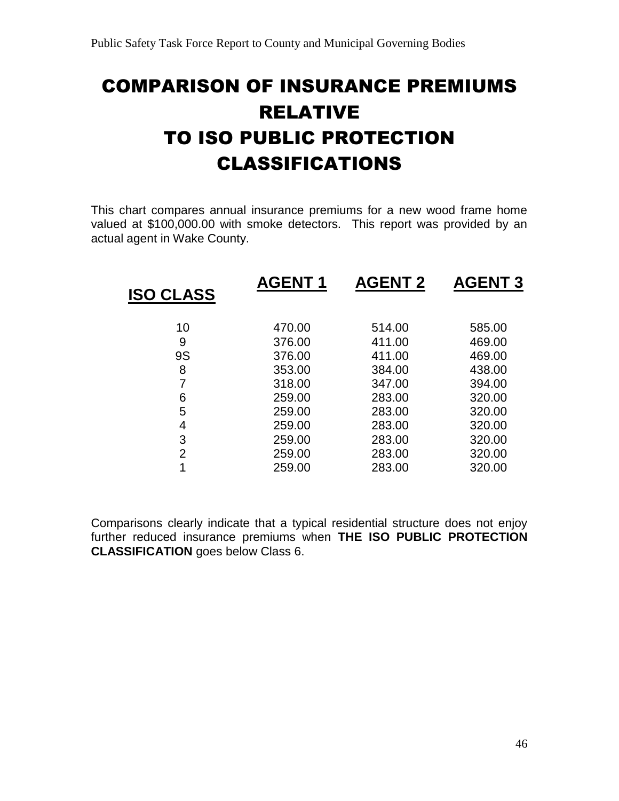# COMPARISON OF INSURANCE PREMIUMS RELATIVE TO ISO PUBLIC PROTECTION CLASSIFICATIONS

This chart compares annual insurance premiums for a new wood frame home valued at \$100,000.00 with smoke detectors. This report was provided by an actual agent in Wake County.

|                  | <b>AGENT1</b> | <b>AGENT 2</b> | <b>AGENT 3</b> |
|------------------|---------------|----------------|----------------|
| <b>ISO CLASS</b> |               |                |                |
| 10               | 470.00        | 514.00         | 585.00         |
| 9                | 376.00        | 411.00         | 469.00         |
| <b>9S</b>        | 376.00        | 411.00         | 469.00         |
| 8                | 353.00        | 384.00         | 438.00         |
|                  | 318.00        | 347.00         | 394.00         |
| 6                | 259.00        | 283.00         | 320.00         |
| 5                | 259.00        | 283.00         | 320.00         |
| 4                | 259.00        | 283.00         | 320.00         |
| 3                | 259.00        | 283.00         | 320.00         |
| 2                | 259.00        | 283.00         | 320.00         |
| 1                | 259.00        | 283.00         | 320.00         |
|                  |               |                |                |

Comparisons clearly indicate that a typical residential structure does not enjoy further reduced insurance premiums when **THE ISO PUBLIC PROTECTION CLASSIFICATION** goes below Class 6.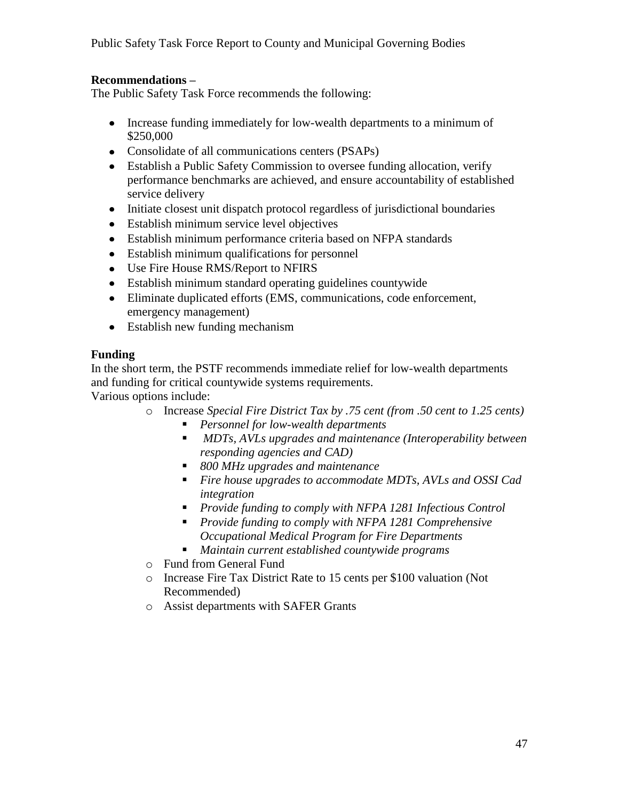## **Recommendations –**

The Public Safety Task Force recommends the following:

- Increase funding immediately for low-wealth departments to a minimum of \$250,000
- Consolidate of all communications centers (PSAPs)
- Establish a Public Safety Commission to oversee funding allocation, verify performance benchmarks are achieved, and ensure accountability of established service delivery
- Initiate closest unit dispatch protocol regardless of jurisdictional boundaries
- Establish minimum service level objectives
- Establish minimum performance criteria based on NFPA standards
- Establish minimum qualifications for personnel
- Use Fire House RMS/Report to NFIRS
- Establish minimum standard operating guidelines countywide
- Eliminate duplicated efforts (EMS, communications, code enforcement, emergency management)
- Establish new funding mechanism

## **Funding**

In the short term, the PSTF recommends immediate relief for low-wealth departments and funding for critical countywide systems requirements.

Various options include:

- o Increase *Special Fire District Tax by .75 cent (from .50 cent to 1.25 cents)*
	- *Personnel for low-wealth departments*
	- *MDTs, AVLs upgrades and maintenance (Interoperability between responding agencies and CAD)*
	- *800 MHz upgrades and maintenance*
	- *Fire house upgrades to accommodate MDTs, AVLs and OSSI Cad integration*
	- *Provide funding to comply with NFPA 1281 Infectious Control*
	- *Provide funding to comply with NFPA 1281 Comprehensive Occupational Medical Program for Fire Departments*
	- *Maintain current established countywide programs*
- o Fund from General Fund
- o Increase Fire Tax District Rate to 15 cents per \$100 valuation (Not Recommended)
- o Assist departments with SAFER Grants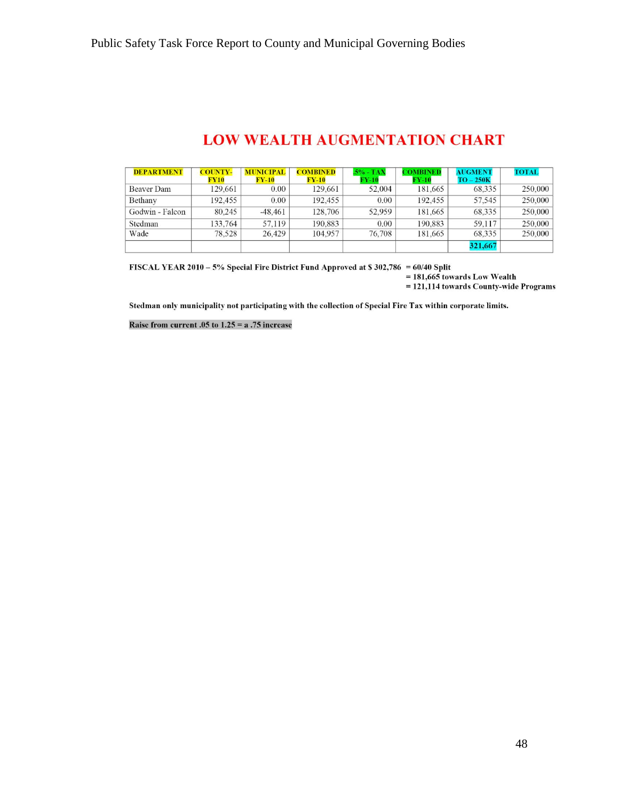# **LOW WEALTH AUGMENTATION CHART**

| <b>DEPARTMENT</b> | <b>COUNTY-</b><br>FY10 | <b>MUNICIPAL</b><br>$FY-10$ | <b>COMBINED</b><br>$\rm{FY-10}$ | .5% - TAX<br>$\rm{FY-10}$ | <b>MBINED</b><br>$FY-10$ | <b>AUGMENT</b><br>$TO-250K$ | <b>TOTAL</b> |
|-------------------|------------------------|-----------------------------|---------------------------------|---------------------------|--------------------------|-----------------------------|--------------|
| <b>Beaver Dam</b> | 129.661                | 0.00                        | 129.661                         | 52,004                    | 181,665                  | 68.335                      | 250,000      |
| Bethany           | 192.455                | 0.00                        | 192.455                         | 0.00                      | 192.455                  | 57.545                      | 250,000      |
| Godwin - Falcon   | 80.245                 | $-48.461$                   | 128,706                         | 52.959                    | 181,665                  | 68.335                      | 250,000      |
| Stedman           | 133.764                | 57.119                      | 190.883                         | 0.00                      | 190.883                  | 59.117                      | 250,000      |
| Wade              | 78.528                 | 26.429                      | 104.957                         | 76.708                    | 181.665                  | 68,335                      | 250,000      |
|                   |                        |                             |                                 |                           |                          | 321,667                     |              |

FISCAL YEAR 2010 - 5% Special Fire District Fund Approved at \$302,786 = 60/40 Split  $= 181,665$  towards Low Wealth

 $= 121,114$  towards County-wide Programs

Stedman only municipality not participating with the collection of Special Fire Tax within corporate limits.

Raise from current  $.05$  to  $1.25 = a$  .75 increase